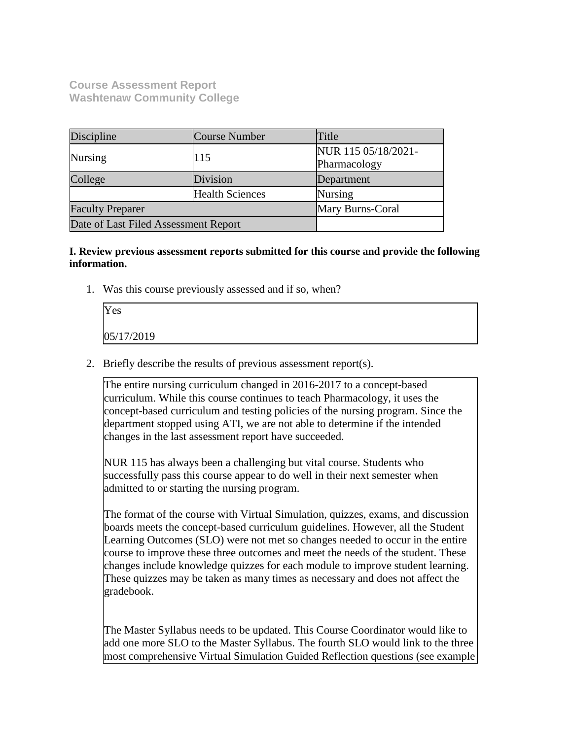**Course Assessment Report Washtenaw Community College**

| Discipline                           | Course Number          | Title               |
|--------------------------------------|------------------------|---------------------|
| <b>Nursing</b>                       | 115                    | NUR 115 05/18/2021- |
|                                      |                        | Pharmacology        |
| College                              | Division               | Department          |
|                                      | <b>Health Sciences</b> | <b>Nursing</b>      |
| <b>Faculty Preparer</b>              |                        | Mary Burns-Coral    |
| Date of Last Filed Assessment Report |                        |                     |

#### **I. Review previous assessment reports submitted for this course and provide the following information.**

1. Was this course previously assessed and if so, when?

| Yes        |  |  |
|------------|--|--|
| 05/17/2019 |  |  |

2. Briefly describe the results of previous assessment report(s).

The entire nursing curriculum changed in 2016-2017 to a concept-based curriculum. While this course continues to teach Pharmacology, it uses the concept-based curriculum and testing policies of the nursing program. Since the department stopped using ATI, we are not able to determine if the intended changes in the last assessment report have succeeded.

NUR 115 has always been a challenging but vital course. Students who successfully pass this course appear to do well in their next semester when admitted to or starting the nursing program.

The format of the course with Virtual Simulation, quizzes, exams, and discussion boards meets the concept-based curriculum guidelines. However, all the Student Learning Outcomes (SLO) were not met so changes needed to occur in the entire course to improve these three outcomes and meet the needs of the student. These changes include knowledge quizzes for each module to improve student learning. These quizzes may be taken as many times as necessary and does not affect the gradebook.

The Master Syllabus needs to be updated. This Course Coordinator would like to add one more SLO to the Master Syllabus. The fourth SLO would link to the three most comprehensive Virtual Simulation Guided Reflection questions (see example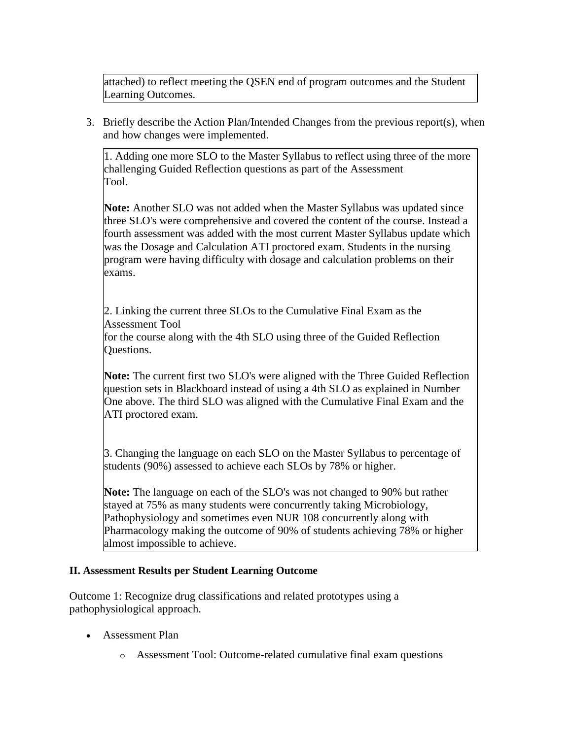attached) to reflect meeting the QSEN end of program outcomes and the Student Learning Outcomes.

3. Briefly describe the Action Plan/Intended Changes from the previous report(s), when and how changes were implemented.

1. Adding one more SLO to the Master Syllabus to reflect using three of the more challenging Guided Reflection questions as part of the Assessment Tool.

**Note:** Another SLO was not added when the Master Syllabus was updated since three SLO's were comprehensive and covered the content of the course. Instead a fourth assessment was added with the most current Master Syllabus update which was the Dosage and Calculation ATI proctored exam. Students in the nursing program were having difficulty with dosage and calculation problems on their exams.

2. Linking the current three SLOs to the Cumulative Final Exam as the Assessment Tool

for the course along with the 4th SLO using three of the Guided Reflection Questions.

**Note:** The current first two SLO's were aligned with the Three Guided Reflection question sets in Blackboard instead of using a 4th SLO as explained in Number One above. The third SLO was aligned with the Cumulative Final Exam and the ATI proctored exam.

3. Changing the language on each SLO on the Master Syllabus to percentage of students (90%) assessed to achieve each SLOs by 78% or higher.

**Note:** The language on each of the SLO's was not changed to 90% but rather stayed at 75% as many students were concurrently taking Microbiology, Pathophysiology and sometimes even NUR 108 concurrently along with Pharmacology making the outcome of 90% of students achieving 78% or higher almost impossible to achieve.

### **II. Assessment Results per Student Learning Outcome**

Outcome 1: Recognize drug classifications and related prototypes using a pathophysiological approach.

- Assessment Plan
	- o Assessment Tool: Outcome-related cumulative final exam questions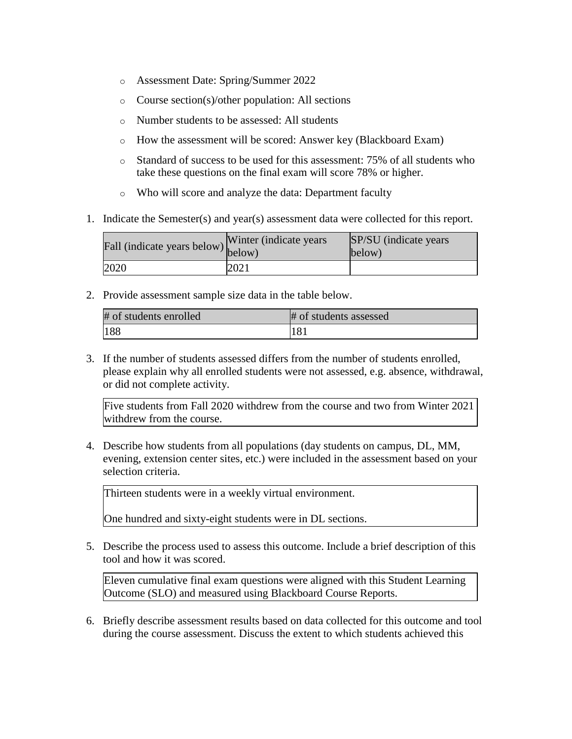- o Assessment Date: Spring/Summer 2022
- o Course section(s)/other population: All sections
- o Number students to be assessed: All students
- o How the assessment will be scored: Answer key (Blackboard Exam)
- o Standard of success to be used for this assessment: 75% of all students who take these questions on the final exam will score 78% or higher.
- o Who will score and analyze the data: Department faculty
- 1. Indicate the Semester(s) and year(s) assessment data were collected for this report.

| Fall (indicate years below) below) | Winter (indicate years) | SP/SU (indicate years)<br>below) |
|------------------------------------|-------------------------|----------------------------------|
| 2020                               | 2021                    |                                  |

2. Provide assessment sample size data in the table below.

| # of students enrolled | # of students assessed |
|------------------------|------------------------|
| 188                    | 181                    |

3. If the number of students assessed differs from the number of students enrolled, please explain why all enrolled students were not assessed, e.g. absence, withdrawal, or did not complete activity.

Five students from Fall 2020 withdrew from the course and two from Winter 2021 withdrew from the course.

4. Describe how students from all populations (day students on campus, DL, MM, evening, extension center sites, etc.) were included in the assessment based on your selection criteria.

Thirteen students were in a weekly virtual environment.

One hundred and sixty-eight students were in DL sections.

5. Describe the process used to assess this outcome. Include a brief description of this tool and how it was scored.

Eleven cumulative final exam questions were aligned with this Student Learning Outcome (SLO) and measured using Blackboard Course Reports.

6. Briefly describe assessment results based on data collected for this outcome and tool during the course assessment. Discuss the extent to which students achieved this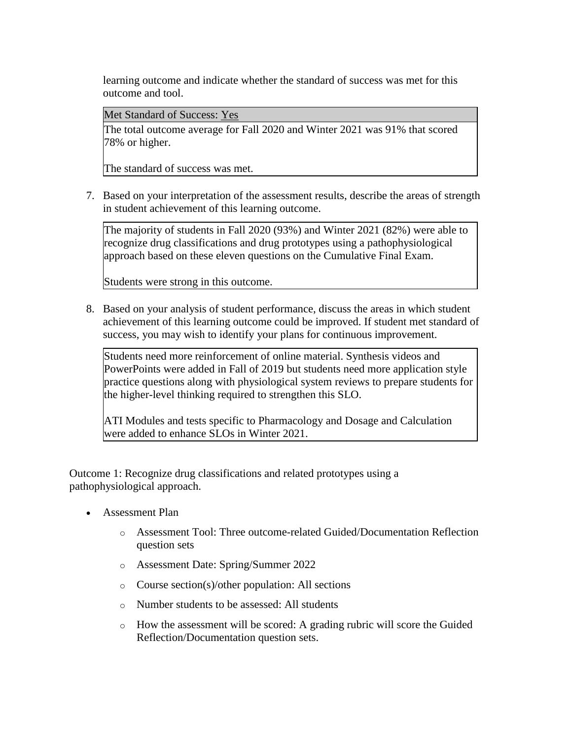learning outcome and indicate whether the standard of success was met for this outcome and tool.

Met Standard of Success: Yes

The total outcome average for Fall 2020 and Winter 2021 was 91% that scored 78% or higher.

The standard of success was met.

7. Based on your interpretation of the assessment results, describe the areas of strength in student achievement of this learning outcome.

The majority of students in Fall 2020 (93%) and Winter 2021 (82%) were able to recognize drug classifications and drug prototypes using a pathophysiological approach based on these eleven questions on the Cumulative Final Exam.

Students were strong in this outcome.

8. Based on your analysis of student performance, discuss the areas in which student achievement of this learning outcome could be improved. If student met standard of success, you may wish to identify your plans for continuous improvement.

Students need more reinforcement of online material. Synthesis videos and PowerPoints were added in Fall of 2019 but students need more application style practice questions along with physiological system reviews to prepare students for the higher-level thinking required to strengthen this SLO.

ATI Modules and tests specific to Pharmacology and Dosage and Calculation were added to enhance SLOs in Winter 2021.

Outcome 1: Recognize drug classifications and related prototypes using a pathophysiological approach.

- Assessment Plan
	- o Assessment Tool: Three outcome-related Guided/Documentation Reflection question sets
	- o Assessment Date: Spring/Summer 2022
	- o Course section(s)/other population: All sections
	- o Number students to be assessed: All students
	- o How the assessment will be scored: A grading rubric will score the Guided Reflection/Documentation question sets.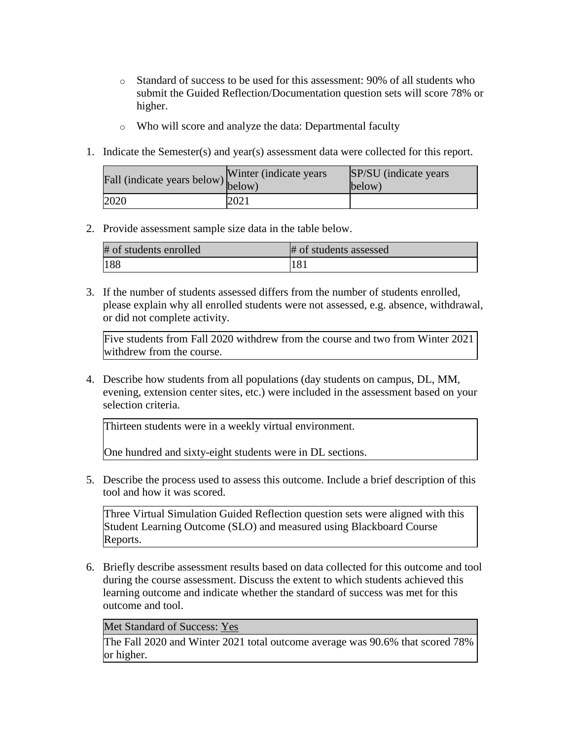- o Standard of success to be used for this assessment: 90% of all students who submit the Guided Reflection/Documentation question sets will score 78% or higher.
- o Who will score and analyze the data: Departmental faculty
- 1. Indicate the Semester(s) and year(s) assessment data were collected for this report.

| Fall (indicate years below) below) | Winter (indicate years) | SP/SU (indicate years)<br>below) |
|------------------------------------|-------------------------|----------------------------------|
| 2020                               | 2021                    |                                  |

#### 2. Provide assessment sample size data in the table below.

| # of students enrolled | # of students assessed |
|------------------------|------------------------|
| 188                    | 181                    |

3. If the number of students assessed differs from the number of students enrolled, please explain why all enrolled students were not assessed, e.g. absence, withdrawal, or did not complete activity.

Five students from Fall 2020 withdrew from the course and two from Winter 2021 withdrew from the course.

4. Describe how students from all populations (day students on campus, DL, MM, evening, extension center sites, etc.) were included in the assessment based on your selection criteria.

Thirteen students were in a weekly virtual environment.

One hundred and sixty-eight students were in DL sections.

5. Describe the process used to assess this outcome. Include a brief description of this tool and how it was scored.

Three Virtual Simulation Guided Reflection question sets were aligned with this Student Learning Outcome (SLO) and measured using Blackboard Course Reports.

6. Briefly describe assessment results based on data collected for this outcome and tool during the course assessment. Discuss the extent to which students achieved this learning outcome and indicate whether the standard of success was met for this outcome and tool.

Met Standard of Success: Yes

The Fall 2020 and Winter 2021 total outcome average was 90.6% that scored 78% or higher.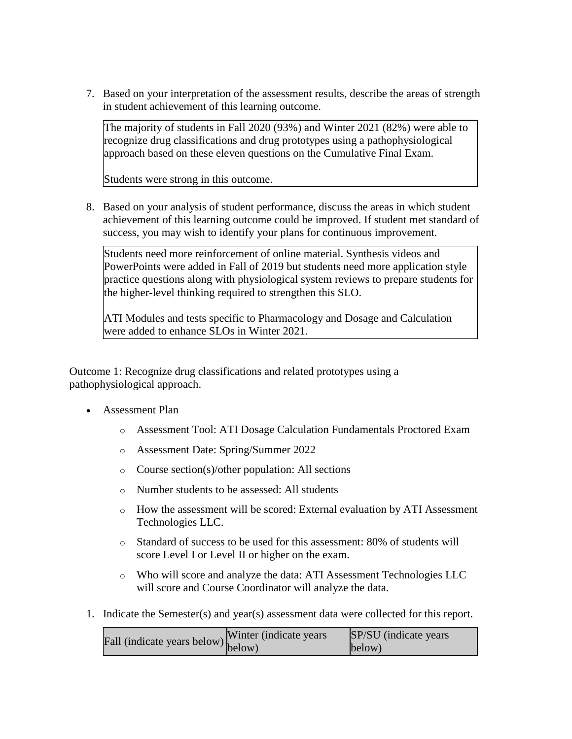7. Based on your interpretation of the assessment results, describe the areas of strength in student achievement of this learning outcome.

The majority of students in Fall 2020 (93%) and Winter 2021 (82%) were able to recognize drug classifications and drug prototypes using a pathophysiological approach based on these eleven questions on the Cumulative Final Exam.

Students were strong in this outcome.

8. Based on your analysis of student performance, discuss the areas in which student achievement of this learning outcome could be improved. If student met standard of success, you may wish to identify your plans for continuous improvement.

Students need more reinforcement of online material. Synthesis videos and PowerPoints were added in Fall of 2019 but students need more application style practice questions along with physiological system reviews to prepare students for the higher-level thinking required to strengthen this SLO.

ATI Modules and tests specific to Pharmacology and Dosage and Calculation were added to enhance SLOs in Winter 2021.

Outcome 1: Recognize drug classifications and related prototypes using a pathophysiological approach.

- Assessment Plan
	- o Assessment Tool: ATI Dosage Calculation Fundamentals Proctored Exam
	- o Assessment Date: Spring/Summer 2022
	- o Course section(s)/other population: All sections
	- o Number students to be assessed: All students
	- o How the assessment will be scored: External evaluation by ATI Assessment Technologies LLC.
	- o Standard of success to be used for this assessment: 80% of students will score Level I or Level II or higher on the exam.
	- o Who will score and analyze the data: ATI Assessment Technologies LLC will score and Course Coordinator will analyze the data.
- 1. Indicate the Semester(s) and year(s) assessment data were collected for this report.

Fall (indicate years below) Winter (indicate years below) SP/SU (indicate years below)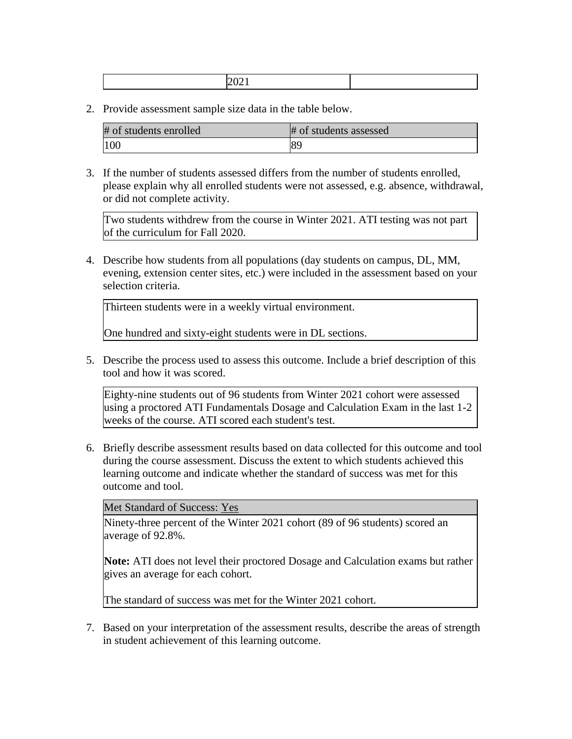|--|--|

2. Provide assessment sample size data in the table below.

| # of students enrolled | # of students assessed |
|------------------------|------------------------|
| 100                    | 189                    |

3. If the number of students assessed differs from the number of students enrolled, please explain why all enrolled students were not assessed, e.g. absence, withdrawal, or did not complete activity.

Two students withdrew from the course in Winter 2021. ATI testing was not part of the curriculum for Fall 2020.

4. Describe how students from all populations (day students on campus, DL, MM, evening, extension center sites, etc.) were included in the assessment based on your selection criteria.

Thirteen students were in a weekly virtual environment.

One hundred and sixty-eight students were in DL sections.

5. Describe the process used to assess this outcome. Include a brief description of this tool and how it was scored.

Eighty-nine students out of 96 students from Winter 2021 cohort were assessed using a proctored ATI Fundamentals Dosage and Calculation Exam in the last 1-2 weeks of the course. ATI scored each student's test.

6. Briefly describe assessment results based on data collected for this outcome and tool during the course assessment. Discuss the extent to which students achieved this learning outcome and indicate whether the standard of success was met for this outcome and tool.

Met Standard of Success: Yes

Ninety-three percent of the Winter 2021 cohort (89 of 96 students) scored an average of 92.8%.

**Note:** ATI does not level their proctored Dosage and Calculation exams but rather gives an average for each cohort.

The standard of success was met for the Winter 2021 cohort.

7. Based on your interpretation of the assessment results, describe the areas of strength in student achievement of this learning outcome.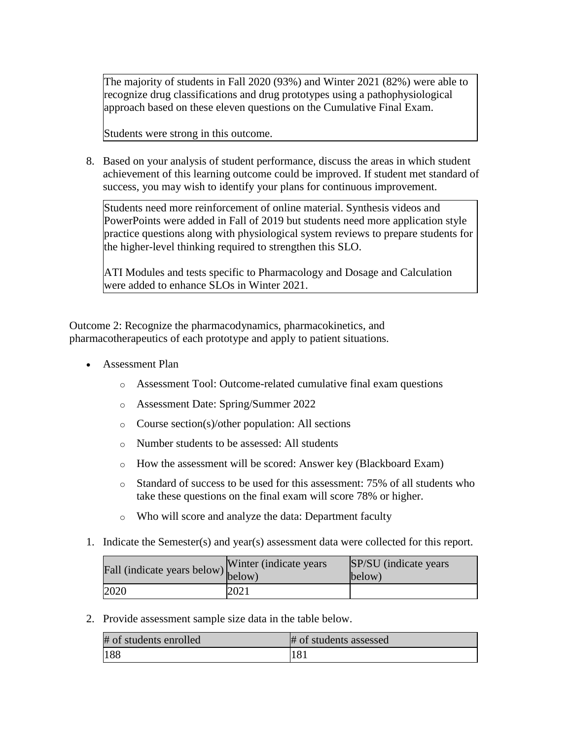The majority of students in Fall 2020 (93%) and Winter 2021 (82%) were able to recognize drug classifications and drug prototypes using a pathophysiological approach based on these eleven questions on the Cumulative Final Exam.

Students were strong in this outcome.

8. Based on your analysis of student performance, discuss the areas in which student achievement of this learning outcome could be improved. If student met standard of success, you may wish to identify your plans for continuous improvement.

Students need more reinforcement of online material. Synthesis videos and PowerPoints were added in Fall of 2019 but students need more application style practice questions along with physiological system reviews to prepare students for the higher-level thinking required to strengthen this SLO.

ATI Modules and tests specific to Pharmacology and Dosage and Calculation were added to enhance SLOs in Winter 2021.

Outcome 2: Recognize the pharmacodynamics, pharmacokinetics, and pharmacotherapeutics of each prototype and apply to patient situations.

- Assessment Plan
	- o Assessment Tool: Outcome-related cumulative final exam questions
	- o Assessment Date: Spring/Summer 2022
	- o Course section(s)/other population: All sections
	- o Number students to be assessed: All students
	- o How the assessment will be scored: Answer key (Blackboard Exam)
	- o Standard of success to be used for this assessment: 75% of all students who take these questions on the final exam will score 78% or higher.
	- o Who will score and analyze the data: Department faculty
- 1. Indicate the Semester(s) and year(s) assessment data were collected for this report.

| Fall (indicate years below) below) | Winter (indicate years) | <b>SP/SU</b> (indicate years)<br>below) |
|------------------------------------|-------------------------|-----------------------------------------|
| 2020                               | 2021                    |                                         |

2. Provide assessment sample size data in the table below.

| # of students enrolled | # of students assessed |
|------------------------|------------------------|
| 188                    | 181                    |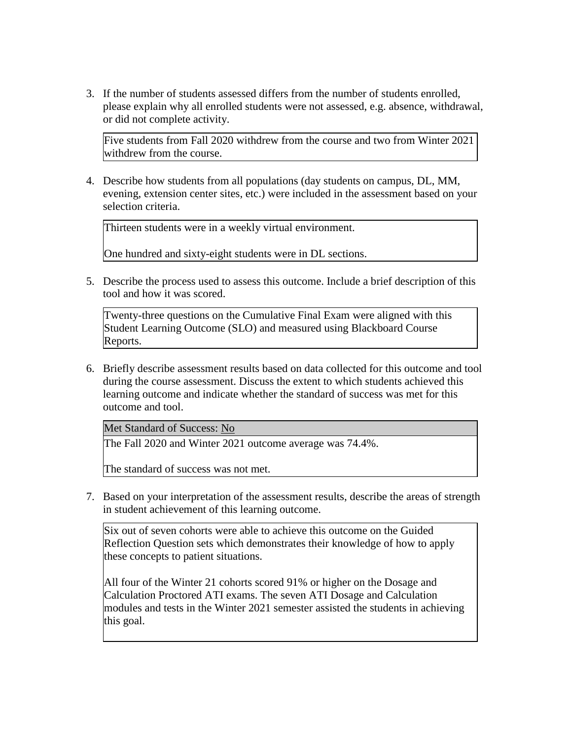3. If the number of students assessed differs from the number of students enrolled, please explain why all enrolled students were not assessed, e.g. absence, withdrawal, or did not complete activity.

Five students from Fall 2020 withdrew from the course and two from Winter 2021 withdrew from the course.

4. Describe how students from all populations (day students on campus, DL, MM, evening, extension center sites, etc.) were included in the assessment based on your selection criteria.

Thirteen students were in a weekly virtual environment.

One hundred and sixty-eight students were in DL sections.

5. Describe the process used to assess this outcome. Include a brief description of this tool and how it was scored.

Twenty-three questions on the Cumulative Final Exam were aligned with this Student Learning Outcome (SLO) and measured using Blackboard Course Reports.

6. Briefly describe assessment results based on data collected for this outcome and tool during the course assessment. Discuss the extent to which students achieved this learning outcome and indicate whether the standard of success was met for this outcome and tool.

Met Standard of Success: No

The Fall 2020 and Winter 2021 outcome average was 74.4%.

The standard of success was not met.

7. Based on your interpretation of the assessment results, describe the areas of strength in student achievement of this learning outcome.

Six out of seven cohorts were able to achieve this outcome on the Guided Reflection Question sets which demonstrates their knowledge of how to apply these concepts to patient situations.

All four of the Winter 21 cohorts scored 91% or higher on the Dosage and Calculation Proctored ATI exams. The seven ATI Dosage and Calculation modules and tests in the Winter 2021 semester assisted the students in achieving this goal.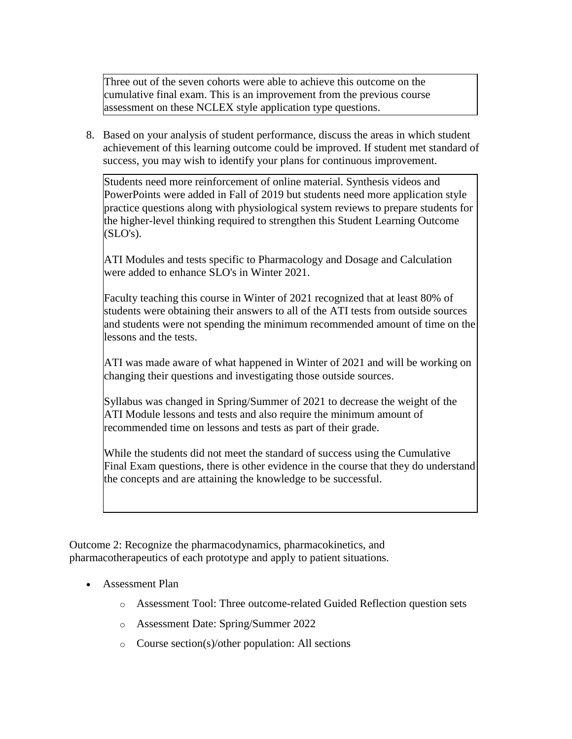Three out of the seven cohorts were able to achieve this outcome on the cumulative final exam. This is an improvement from the previous course assessment on these NCLEX style application type questions.

8. Based on your analysis of student performance, discuss the areas in which student achievement of this learning outcome could be improved. If student met standard of success, you may wish to identify your plans for continuous improvement.

Students need more reinforcement of online material. Synthesis videos and PowerPoints were added in Fall of 2019 but students need more application style practice questions along with physiological system reviews to prepare students for the higher-level thinking required to strengthen this Student Learning Outcome  $(SLO's)$ .

ATI Modules and tests specific to Pharmacology and Dosage and Calculation were added to enhance SLO's in Winter 2021.

Faculty teaching this course in Winter of 2021 recognized that at least 80% of students were obtaining their answers to all of the ATI tests from outside sources and students were not spending the minimum recommended amount of time on the lessons and the tests.

ATI was made aware of what happened in Winter of 2021 and will be working on changing their questions and investigating those outside sources.

Syllabus was changed in Spring/Summer of 2021 to decrease the weight of the ATI Module lessons and tests and also require the minimum amount of recommended time on lessons and tests as part of their grade.

While the students did not meet the standard of success using the Cumulative Final Exam questions, there is other evidence in the course that they do understand the concepts and are attaining the knowledge to be successful.

Outcome 2: Recognize the pharmacodynamics, pharmacokinetics, and pharmacotherapeutics of each prototype and apply to patient situations.

- Assessment Plan
	- o Assessment Tool: Three outcome-related Guided Reflection question sets
	- o Assessment Date: Spring/Summer 2022
	- o Course section(s)/other population: All sections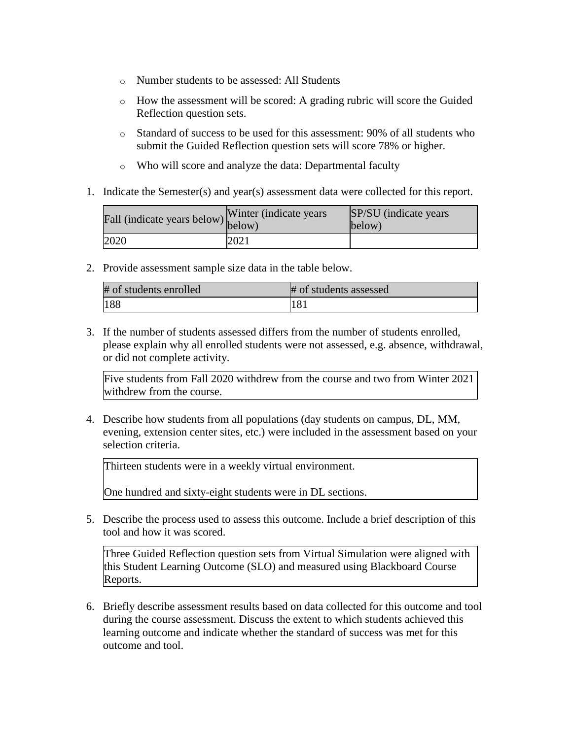- o Number students to be assessed: All Students
- o How the assessment will be scored: A grading rubric will score the Guided Reflection question sets.
- o Standard of success to be used for this assessment: 90% of all students who submit the Guided Reflection question sets will score 78% or higher.
- o Who will score and analyze the data: Departmental faculty
- 1. Indicate the Semester(s) and year(s) assessment data were collected for this report.

| Fall (indicate years below) below) | Winter (indicate years) | SP/SU (indicate years)<br>below) |
|------------------------------------|-------------------------|----------------------------------|
| 2020                               | 2021                    |                                  |

2. Provide assessment sample size data in the table below.

| # of students enrolled | # of students assessed |
|------------------------|------------------------|
| 188                    | 181                    |

3. If the number of students assessed differs from the number of students enrolled, please explain why all enrolled students were not assessed, e.g. absence, withdrawal, or did not complete activity.

Five students from Fall 2020 withdrew from the course and two from Winter 2021 withdrew from the course.

4. Describe how students from all populations (day students on campus, DL, MM, evening, extension center sites, etc.) were included in the assessment based on your selection criteria.

Thirteen students were in a weekly virtual environment.

One hundred and sixty-eight students were in DL sections.

5. Describe the process used to assess this outcome. Include a brief description of this tool and how it was scored.

Three Guided Reflection question sets from Virtual Simulation were aligned with this Student Learning Outcome (SLO) and measured using Blackboard Course Reports.

6. Briefly describe assessment results based on data collected for this outcome and tool during the course assessment. Discuss the extent to which students achieved this learning outcome and indicate whether the standard of success was met for this outcome and tool.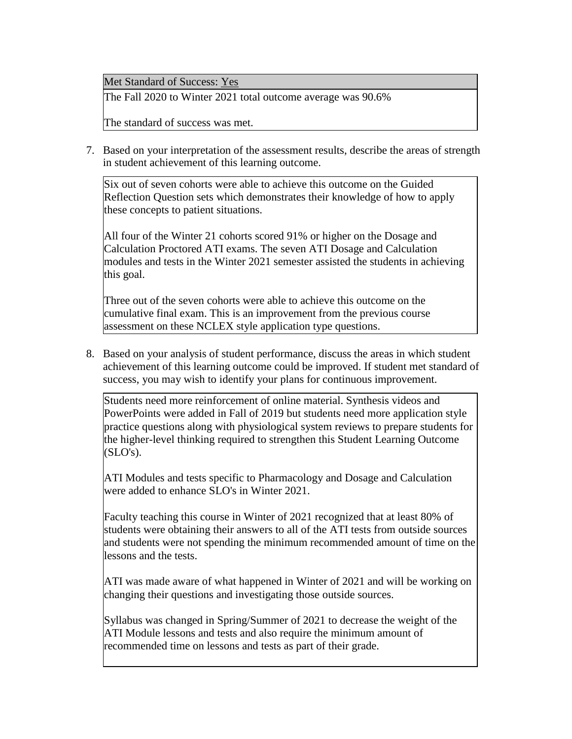Met Standard of Success: Yes

The Fall 2020 to Winter 2021 total outcome average was 90.6%

The standard of success was met.

7. Based on your interpretation of the assessment results, describe the areas of strength in student achievement of this learning outcome.

Six out of seven cohorts were able to achieve this outcome on the Guided Reflection Question sets which demonstrates their knowledge of how to apply these concepts to patient situations.

All four of the Winter 21 cohorts scored 91% or higher on the Dosage and Calculation Proctored ATI exams. The seven ATI Dosage and Calculation modules and tests in the Winter 2021 semester assisted the students in achieving this goal.

Three out of the seven cohorts were able to achieve this outcome on the cumulative final exam. This is an improvement from the previous course assessment on these NCLEX style application type questions.

8. Based on your analysis of student performance, discuss the areas in which student achievement of this learning outcome could be improved. If student met standard of success, you may wish to identify your plans for continuous improvement.

Students need more reinforcement of online material. Synthesis videos and PowerPoints were added in Fall of 2019 but students need more application style practice questions along with physiological system reviews to prepare students for the higher-level thinking required to strengthen this Student Learning Outcome  $(SLO's)$ .

ATI Modules and tests specific to Pharmacology and Dosage and Calculation were added to enhance SLO's in Winter 2021.

Faculty teaching this course in Winter of 2021 recognized that at least 80% of students were obtaining their answers to all of the ATI tests from outside sources and students were not spending the minimum recommended amount of time on the lessons and the tests.

ATI was made aware of what happened in Winter of 2021 and will be working on changing their questions and investigating those outside sources.

Syllabus was changed in Spring/Summer of 2021 to decrease the weight of the ATI Module lessons and tests and also require the minimum amount of recommended time on lessons and tests as part of their grade.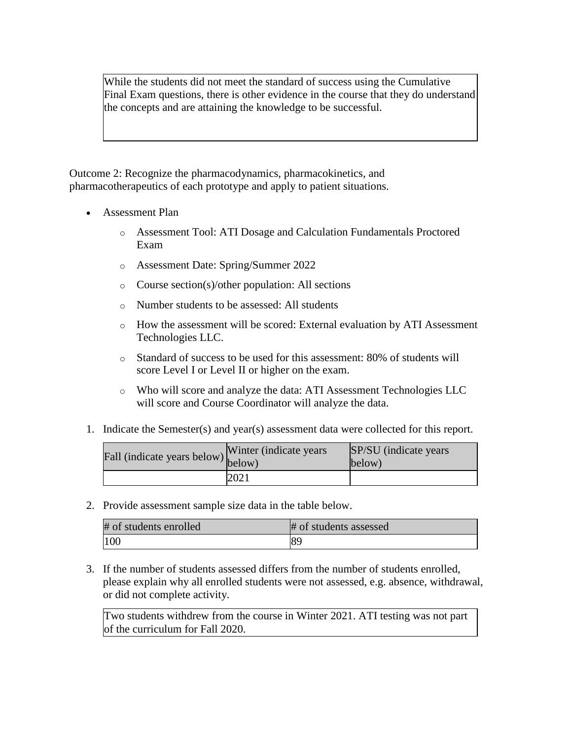While the students did not meet the standard of success using the Cumulative Final Exam questions, there is other evidence in the course that they do understand the concepts and are attaining the knowledge to be successful.

Outcome 2: Recognize the pharmacodynamics, pharmacokinetics, and pharmacotherapeutics of each prototype and apply to patient situations.

- Assessment Plan
	- o Assessment Tool: ATI Dosage and Calculation Fundamentals Proctored Exam
	- o Assessment Date: Spring/Summer 2022
	- o Course section(s)/other population: All sections
	- o Number students to be assessed: All students
	- o How the assessment will be scored: External evaluation by ATI Assessment Technologies LLC.
	- o Standard of success to be used for this assessment: 80% of students will score Level I or Level II or higher on the exam.
	- o Who will score and analyze the data: ATI Assessment Technologies LLC will score and Course Coordinator will analyze the data.
- 1. Indicate the Semester(s) and year(s) assessment data were collected for this report.

| Fall (indicate years below) below) | Winter (indicate years) | SP/SU (indicate years)<br>below) |
|------------------------------------|-------------------------|----------------------------------|
|                                    | 2021                    |                                  |

2. Provide assessment sample size data in the table below.

| # of students enrolled | # of students assessed |
|------------------------|------------------------|
| 100                    |                        |

3. If the number of students assessed differs from the number of students enrolled, please explain why all enrolled students were not assessed, e.g. absence, withdrawal, or did not complete activity.

Two students withdrew from the course in Winter 2021. ATI testing was not part of the curriculum for Fall 2020.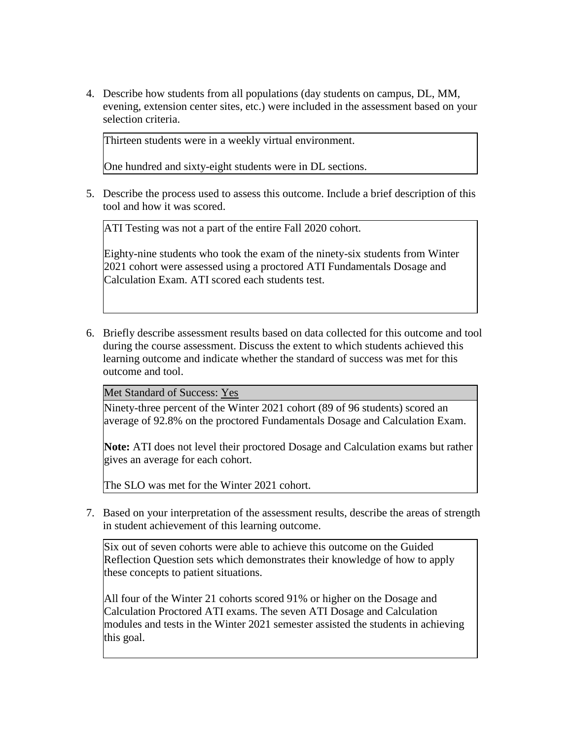4. Describe how students from all populations (day students on campus, DL, MM, evening, extension center sites, etc.) were included in the assessment based on your selection criteria.

Thirteen students were in a weekly virtual environment.

One hundred and sixty-eight students were in DL sections.

5. Describe the process used to assess this outcome. Include a brief description of this tool and how it was scored.

ATI Testing was not a part of the entire Fall 2020 cohort.

Eighty-nine students who took the exam of the ninety-six students from Winter 2021 cohort were assessed using a proctored ATI Fundamentals Dosage and Calculation Exam. ATI scored each students test.

6. Briefly describe assessment results based on data collected for this outcome and tool during the course assessment. Discuss the extent to which students achieved this learning outcome and indicate whether the standard of success was met for this outcome and tool.

Met Standard of Success: Yes

Ninety-three percent of the Winter 2021 cohort (89 of 96 students) scored an average of 92.8% on the proctored Fundamentals Dosage and Calculation Exam.

**Note:** ATI does not level their proctored Dosage and Calculation exams but rather gives an average for each cohort.

The SLO was met for the Winter 2021 cohort.

7. Based on your interpretation of the assessment results, describe the areas of strength in student achievement of this learning outcome.

Six out of seven cohorts were able to achieve this outcome on the Guided Reflection Question sets which demonstrates their knowledge of how to apply these concepts to patient situations.

All four of the Winter 21 cohorts scored 91% or higher on the Dosage and Calculation Proctored ATI exams. The seven ATI Dosage and Calculation modules and tests in the Winter 2021 semester assisted the students in achieving this goal.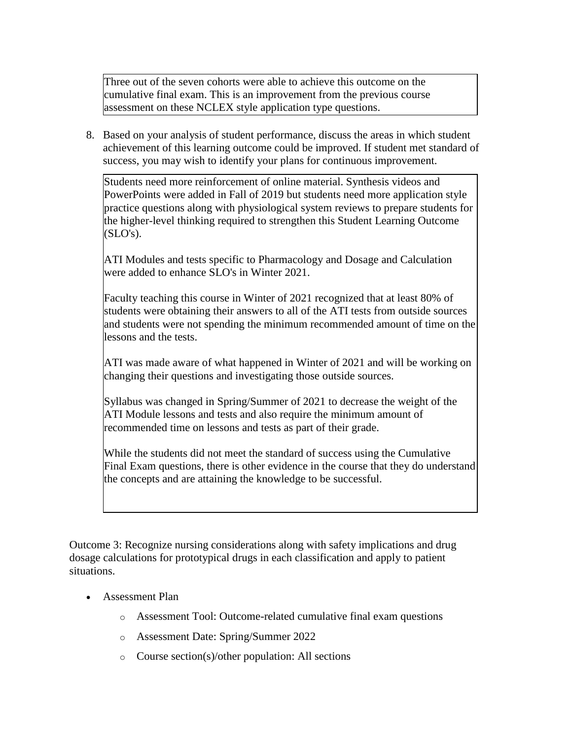Three out of the seven cohorts were able to achieve this outcome on the cumulative final exam. This is an improvement from the previous course assessment on these NCLEX style application type questions.

8. Based on your analysis of student performance, discuss the areas in which student achievement of this learning outcome could be improved. If student met standard of success, you may wish to identify your plans for continuous improvement.

Students need more reinforcement of online material. Synthesis videos and PowerPoints were added in Fall of 2019 but students need more application style practice questions along with physiological system reviews to prepare students for the higher-level thinking required to strengthen this Student Learning Outcome  $(SLO's)$ .

ATI Modules and tests specific to Pharmacology and Dosage and Calculation were added to enhance SLO's in Winter 2021.

Faculty teaching this course in Winter of 2021 recognized that at least 80% of students were obtaining their answers to all of the ATI tests from outside sources and students were not spending the minimum recommended amount of time on the lessons and the tests.

ATI was made aware of what happened in Winter of 2021 and will be working on changing their questions and investigating those outside sources.

Syllabus was changed in Spring/Summer of 2021 to decrease the weight of the ATI Module lessons and tests and also require the minimum amount of recommended time on lessons and tests as part of their grade.

While the students did not meet the standard of success using the Cumulative Final Exam questions, there is other evidence in the course that they do understand the concepts and are attaining the knowledge to be successful.

Outcome 3: Recognize nursing considerations along with safety implications and drug dosage calculations for prototypical drugs in each classification and apply to patient situations.

- Assessment Plan
	- o Assessment Tool: Outcome-related cumulative final exam questions
	- o Assessment Date: Spring/Summer 2022
	- o Course section(s)/other population: All sections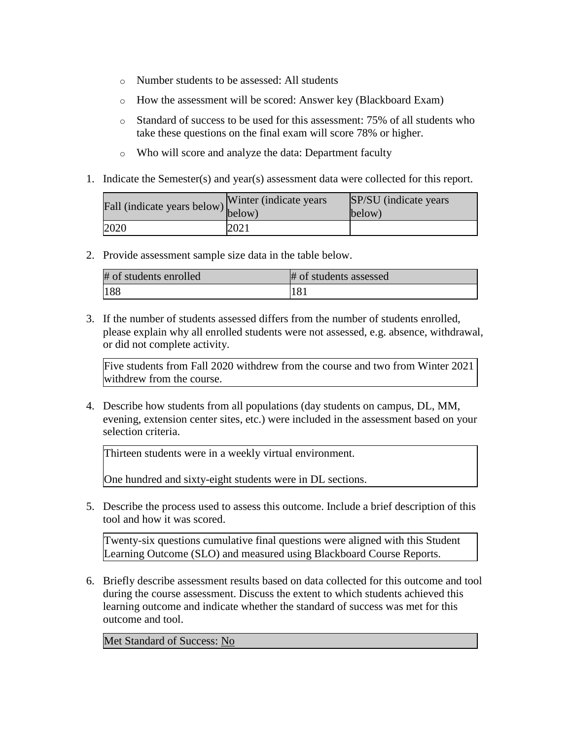- o Number students to be assessed: All students
- o How the assessment will be scored: Answer key (Blackboard Exam)
- o Standard of success to be used for this assessment: 75% of all students who take these questions on the final exam will score 78% or higher.
- o Who will score and analyze the data: Department faculty
- 1. Indicate the Semester(s) and year(s) assessment data were collected for this report.

| rall (indicate years below) below) | Winter (indicate years) | SP/SU (indicate years)<br>below) |
|------------------------------------|-------------------------|----------------------------------|
| 2020                               | 2021                    |                                  |

2. Provide assessment sample size data in the table below.

| # of students enrolled | # of students assessed |
|------------------------|------------------------|
| 188                    | 181                    |

3. If the number of students assessed differs from the number of students enrolled, please explain why all enrolled students were not assessed, e.g. absence, withdrawal, or did not complete activity.

Five students from Fall 2020 withdrew from the course and two from Winter 2021 withdrew from the course.

4. Describe how students from all populations (day students on campus, DL, MM, evening, extension center sites, etc.) were included in the assessment based on your selection criteria.

Thirteen students were in a weekly virtual environment.

One hundred and sixty-eight students were in DL sections.

5. Describe the process used to assess this outcome. Include a brief description of this tool and how it was scored.

Twenty-six questions cumulative final questions were aligned with this Student Learning Outcome (SLO) and measured using Blackboard Course Reports.

6. Briefly describe assessment results based on data collected for this outcome and tool during the course assessment. Discuss the extent to which students achieved this learning outcome and indicate whether the standard of success was met for this outcome and tool.

Met Standard of Success: No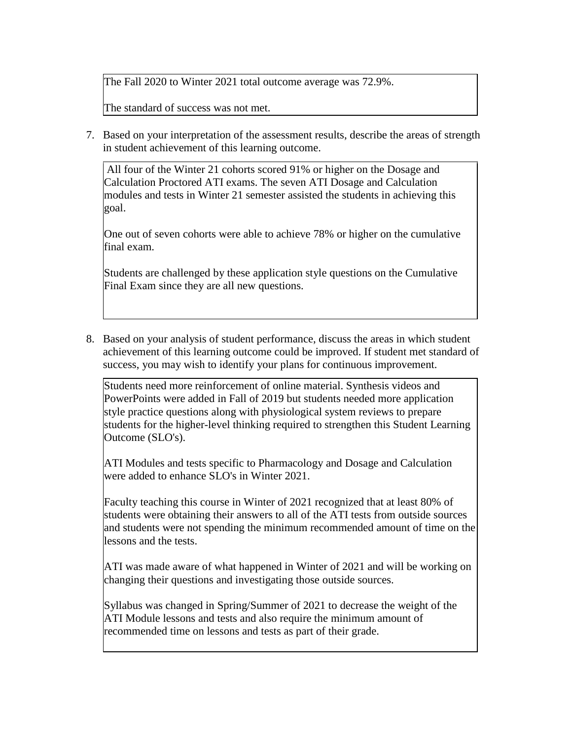The Fall 2020 to Winter 2021 total outcome average was 72.9%.

The standard of success was not met.

7. Based on your interpretation of the assessment results, describe the areas of strength in student achievement of this learning outcome.

All four of the Winter 21 cohorts scored 91% or higher on the Dosage and Calculation Proctored ATI exams. The seven ATI Dosage and Calculation modules and tests in Winter 21 semester assisted the students in achieving this goal.

One out of seven cohorts were able to achieve 78% or higher on the cumulative final exam.

Students are challenged by these application style questions on the Cumulative Final Exam since they are all new questions.

8. Based on your analysis of student performance, discuss the areas in which student achievement of this learning outcome could be improved. If student met standard of success, you may wish to identify your plans for continuous improvement.

Students need more reinforcement of online material. Synthesis videos and PowerPoints were added in Fall of 2019 but students needed more application style practice questions along with physiological system reviews to prepare students for the higher-level thinking required to strengthen this Student Learning Outcome (SLO's).

ATI Modules and tests specific to Pharmacology and Dosage and Calculation were added to enhance SLO's in Winter 2021.

Faculty teaching this course in Winter of 2021 recognized that at least 80% of students were obtaining their answers to all of the ATI tests from outside sources and students were not spending the minimum recommended amount of time on the lessons and the tests.

ATI was made aware of what happened in Winter of 2021 and will be working on changing their questions and investigating those outside sources.

Syllabus was changed in Spring/Summer of 2021 to decrease the weight of the ATI Module lessons and tests and also require the minimum amount of recommended time on lessons and tests as part of their grade.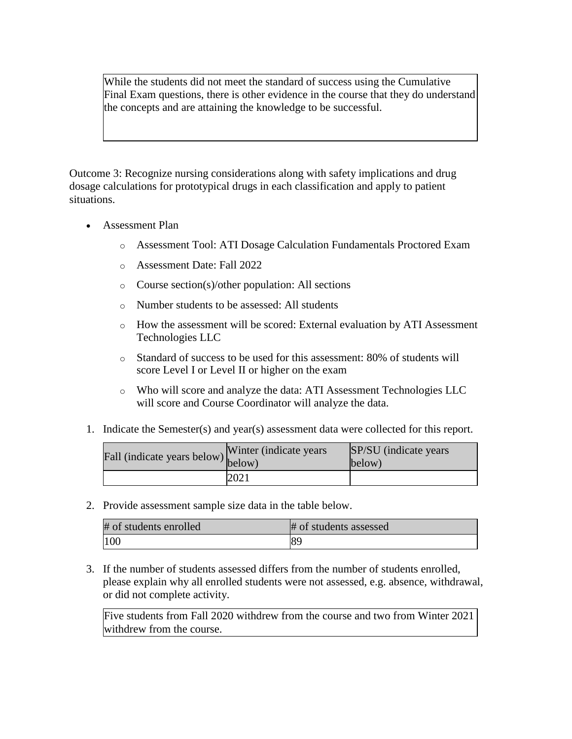While the students did not meet the standard of success using the Cumulative Final Exam questions, there is other evidence in the course that they do understand the concepts and are attaining the knowledge to be successful.

Outcome 3: Recognize nursing considerations along with safety implications and drug dosage calculations for prototypical drugs in each classification and apply to patient situations.

- Assessment Plan
	- o Assessment Tool: ATI Dosage Calculation Fundamentals Proctored Exam
	- o Assessment Date: Fall 2022
	- o Course section(s)/other population: All sections
	- o Number students to be assessed: All students
	- o How the assessment will be scored: External evaluation by ATI Assessment Technologies LLC
	- o Standard of success to be used for this assessment: 80% of students will score Level I or Level II or higher on the exam
	- o Who will score and analyze the data: ATI Assessment Technologies LLC will score and Course Coordinator will analyze the data.
- 1. Indicate the Semester(s) and year(s) assessment data were collected for this report.

| Fall (indicate years below) below) | Winter (indicate years) | SP/SU (indicate years)<br>below) |
|------------------------------------|-------------------------|----------------------------------|
|                                    | 2021                    |                                  |

2. Provide assessment sample size data in the table below.

| # of students enrolled | # of students assessed |
|------------------------|------------------------|
| 100                    |                        |

3. If the number of students assessed differs from the number of students enrolled, please explain why all enrolled students were not assessed, e.g. absence, withdrawal, or did not complete activity.

Five students from Fall 2020 withdrew from the course and two from Winter 2021 withdrew from the course.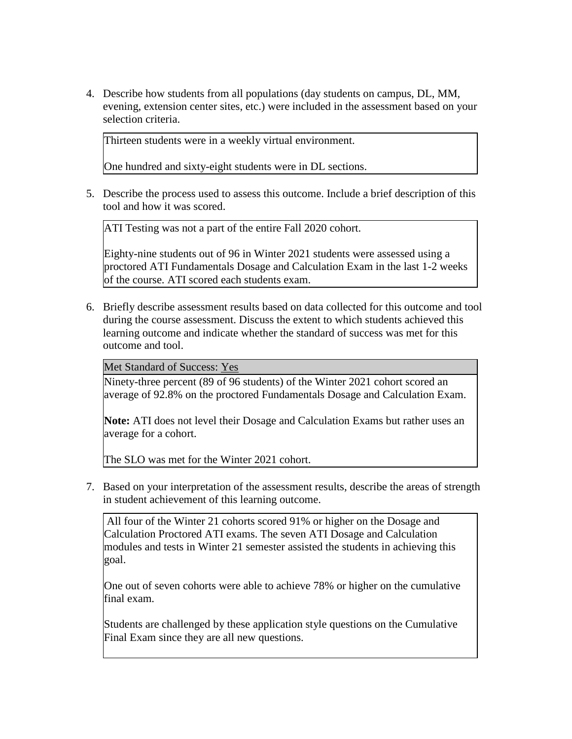4. Describe how students from all populations (day students on campus, DL, MM, evening, extension center sites, etc.) were included in the assessment based on your selection criteria.

Thirteen students were in a weekly virtual environment.

One hundred and sixty-eight students were in DL sections.

5. Describe the process used to assess this outcome. Include a brief description of this tool and how it was scored.

ATI Testing was not a part of the entire Fall 2020 cohort.

Eighty-nine students out of 96 in Winter 2021 students were assessed using a proctored ATI Fundamentals Dosage and Calculation Exam in the last 1-2 weeks of the course. ATI scored each students exam.

6. Briefly describe assessment results based on data collected for this outcome and tool during the course assessment. Discuss the extent to which students achieved this learning outcome and indicate whether the standard of success was met for this outcome and tool.

Met Standard of Success: Yes

Ninety-three percent (89 of 96 students) of the Winter 2021 cohort scored an average of 92.8% on the proctored Fundamentals Dosage and Calculation Exam.

**Note:** ATI does not level their Dosage and Calculation Exams but rather uses an average for a cohort.

The SLO was met for the Winter 2021 cohort.

7. Based on your interpretation of the assessment results, describe the areas of strength in student achievement of this learning outcome.

All four of the Winter 21 cohorts scored 91% or higher on the Dosage and Calculation Proctored ATI exams. The seven ATI Dosage and Calculation modules and tests in Winter 21 semester assisted the students in achieving this goal.

One out of seven cohorts were able to achieve 78% or higher on the cumulative final exam.

Students are challenged by these application style questions on the Cumulative Final Exam since they are all new questions.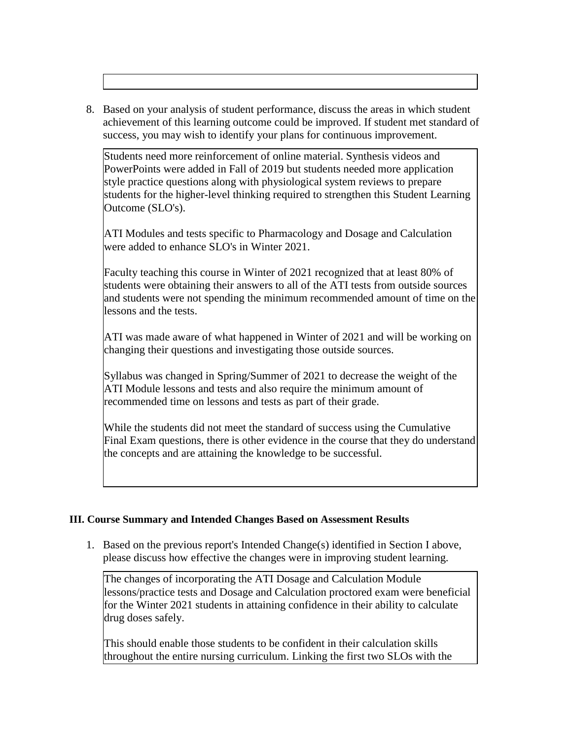8. Based on your analysis of student performance, discuss the areas in which student achievement of this learning outcome could be improved. If student met standard of success, you may wish to identify your plans for continuous improvement.

Students need more reinforcement of online material. Synthesis videos and PowerPoints were added in Fall of 2019 but students needed more application style practice questions along with physiological system reviews to prepare students for the higher-level thinking required to strengthen this Student Learning Outcome (SLO's).

ATI Modules and tests specific to Pharmacology and Dosage and Calculation were added to enhance SLO's in Winter 2021.

Faculty teaching this course in Winter of 2021 recognized that at least 80% of students were obtaining their answers to all of the ATI tests from outside sources and students were not spending the minimum recommended amount of time on the lessons and the tests.

ATI was made aware of what happened in Winter of 2021 and will be working on changing their questions and investigating those outside sources.

Syllabus was changed in Spring/Summer of 2021 to decrease the weight of the ATI Module lessons and tests and also require the minimum amount of recommended time on lessons and tests as part of their grade.

While the students did not meet the standard of success using the Cumulative Final Exam questions, there is other evidence in the course that they do understand the concepts and are attaining the knowledge to be successful.

#### **III. Course Summary and Intended Changes Based on Assessment Results**

1. Based on the previous report's Intended Change(s) identified in Section I above, please discuss how effective the changes were in improving student learning.

The changes of incorporating the ATI Dosage and Calculation Module lessons/practice tests and Dosage and Calculation proctored exam were beneficial for the Winter 2021 students in attaining confidence in their ability to calculate drug doses safely.

This should enable those students to be confident in their calculation skills throughout the entire nursing curriculum. Linking the first two SLOs with the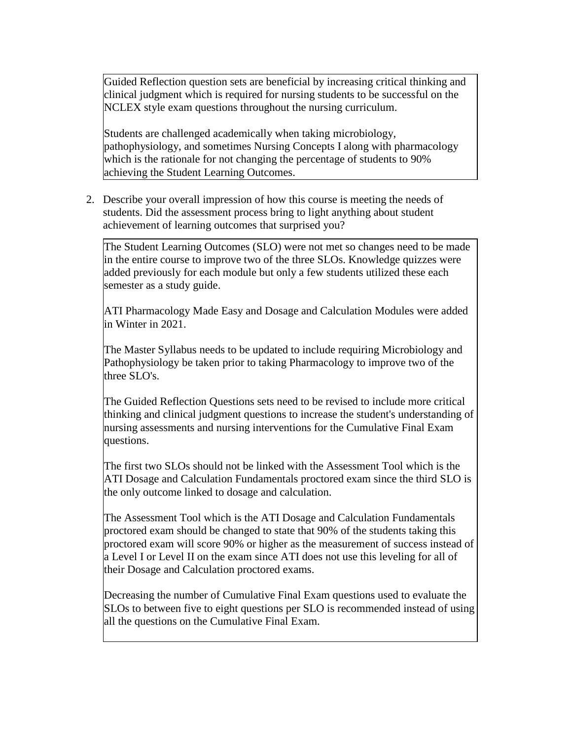Guided Reflection question sets are beneficial by increasing critical thinking and clinical judgment which is required for nursing students to be successful on the NCLEX style exam questions throughout the nursing curriculum.

Students are challenged academically when taking microbiology, pathophysiology, and sometimes Nursing Concepts I along with pharmacology which is the rationale for not changing the percentage of students to 90% achieving the Student Learning Outcomes.

2. Describe your overall impression of how this course is meeting the needs of students. Did the assessment process bring to light anything about student achievement of learning outcomes that surprised you?

The Student Learning Outcomes (SLO) were not met so changes need to be made in the entire course to improve two of the three SLOs. Knowledge quizzes were added previously for each module but only a few students utilized these each semester as a study guide.

ATI Pharmacology Made Easy and Dosage and Calculation Modules were added in Winter in 2021.

The Master Syllabus needs to be updated to include requiring Microbiology and Pathophysiology be taken prior to taking Pharmacology to improve two of the three SLO's.

The Guided Reflection Questions sets need to be revised to include more critical thinking and clinical judgment questions to increase the student's understanding of nursing assessments and nursing interventions for the Cumulative Final Exam questions.

The first two SLOs should not be linked with the Assessment Tool which is the ATI Dosage and Calculation Fundamentals proctored exam since the third SLO is the only outcome linked to dosage and calculation.

The Assessment Tool which is the ATI Dosage and Calculation Fundamentals proctored exam should be changed to state that 90% of the students taking this proctored exam will score 90% or higher as the measurement of success instead of a Level I or Level II on the exam since ATI does not use this leveling for all of their Dosage and Calculation proctored exams.

Decreasing the number of Cumulative Final Exam questions used to evaluate the SLOs to between five to eight questions per SLO is recommended instead of using all the questions on the Cumulative Final Exam.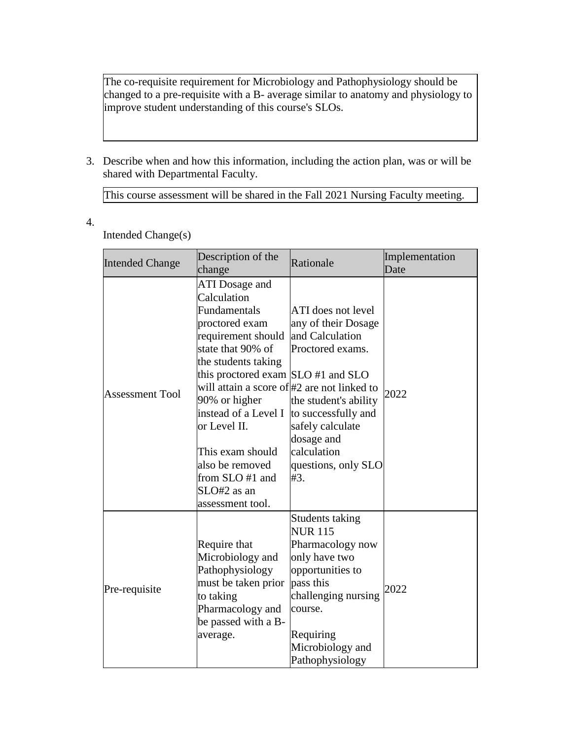The co-requisite requirement for Microbiology and Pathophysiology should be changed to a pre-requisite with a B- average similar to anatomy and physiology to improve student understanding of this course's SLOs.

3. Describe when and how this information, including the action plan, was or will be shared with Departmental Faculty.

This course assessment will be shared in the Fall 2021 Nursing Faculty meeting.

4.

### Intended Change(s)

| <b>Intended Change</b> | Description of the<br>change                                                                                                                                                                                                                                                                                                  | Rationale                                                                                                                                                                                                                                                     | Implementation<br>Date |
|------------------------|-------------------------------------------------------------------------------------------------------------------------------------------------------------------------------------------------------------------------------------------------------------------------------------------------------------------------------|---------------------------------------------------------------------------------------------------------------------------------------------------------------------------------------------------------------------------------------------------------------|------------------------|
| <b>Assessment Tool</b> | ATI Dosage and<br>Calculation<br>Fundamentals<br>proctored exam<br>requirement should<br>state that 90% of<br>the students taking<br>this proctored exam SLO #1 and SLO<br>90% or higher<br>instead of a Level I<br>or Level II.<br>This exam should<br>also be removed<br>from SLO #1 and<br>SLO#2 as an<br>assessment tool. | ATI does not level<br>any of their Dosage<br>and Calculation<br>Proctored exams.<br>will attain a score of#2 are not linked to<br>the student's ability<br>to successfully and<br>safely calculate<br>dosage and<br>calculation<br>questions, only SLO<br>#3. | 2022                   |
| Pre-requisite          | Require that<br>Microbiology and<br>Pathophysiology<br>must be taken prior<br>to taking<br>Pharmacology and<br>be passed with a B-<br>average.                                                                                                                                                                                | <b>Students taking</b><br><b>NUR 115</b><br>Pharmacology now<br>only have two<br>opportunities to<br>pass this<br>challenging nursing<br>course.<br>Requiring<br>Microbiology and<br>Pathophysiology                                                          | 2022                   |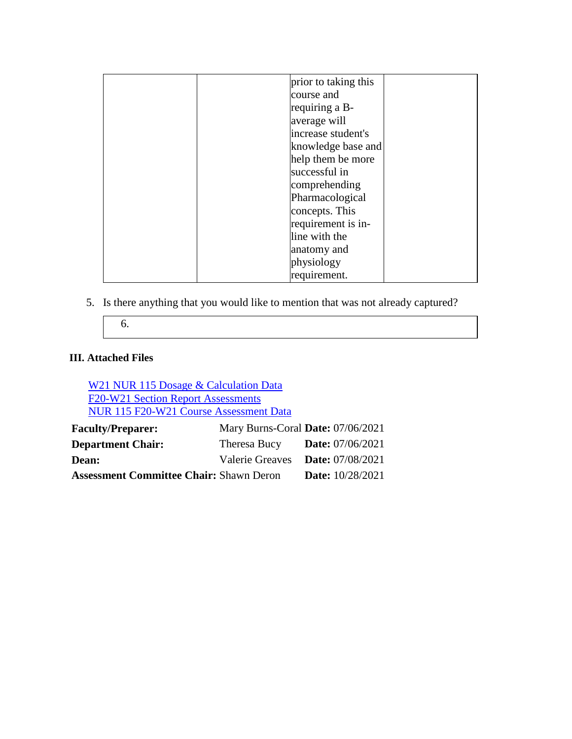| prior to taking this |  |
|----------------------|--|
|                      |  |
| course and           |  |
| requiring a B-       |  |
| average will         |  |
| increase student's   |  |
| knowledge base and   |  |
| help them be more    |  |
| successful in        |  |
| comprehending        |  |
| Pharmacological      |  |
| concepts. This       |  |
| requirement is in-   |  |
| line with the        |  |
| anatomy and          |  |
| physiology           |  |
| requirement.         |  |

5. Is there anything that you would like to mention that was not already captured?

6.

#### **III. Attached Files**

[W21 NUR 115 Dosage & Calculation Data](documents/Winter%2021%20NUR%20115%204%20Sections%20Dosage%20&%20Calculation%20Outcomes%20.pdf) [F20-W21 Section Report Assessments](documents/Fall%2020-Winter%2021%20NUR%20115%20Course%20Sections%20Outcome%20Assessment%20Tools.pdf) [NUR 115 F20-W21 Course Assessment Data](documents/NUR%20115%20Course%20Assessment%20F20_W211.xlsx) **Faculty/Preparer:** Mary Burns-Coral **Date:** 07/06/2021 **Department Chair:** Theresa Bucy **Date:** 07/06/2021

| Dean:                                          | Valerie Greaves <b>Date:</b> 07/08/2021 |
|------------------------------------------------|-----------------------------------------|
| <b>Assessment Committee Chair: Shawn Deron</b> | <b>Date:</b> $10/28/2021$               |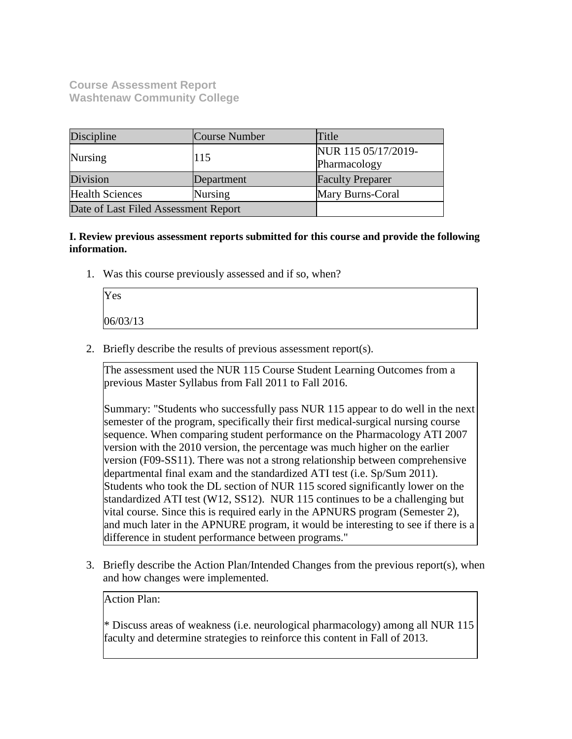**Course Assessment Report Washtenaw Community College**

| Discipline                           | Course Number                      | Title                               |
|--------------------------------------|------------------------------------|-------------------------------------|
| Nursing                              | 115                                | NUR 115 05/17/2019-<br>Pharmacology |
| Division                             | Department                         | <b>Faculty Preparer</b>             |
| <b>Health Sciences</b>               | Mary Burns-Coral<br><b>Nursing</b> |                                     |
| Date of Last Filed Assessment Report |                                    |                                     |

**I. Review previous assessment reports submitted for this course and provide the following information.**

1. Was this course previously assessed and if so, when?

| Yes      |  |  |
|----------|--|--|
| 06/03/13 |  |  |

2. Briefly describe the results of previous assessment report(s).

The assessment used the NUR 115 Course Student Learning Outcomes from a previous Master Syllabus from Fall 2011 to Fall 2016.

Summary: "Students who successfully pass NUR 115 appear to do well in the next semester of the program, specifically their first medical-surgical nursing course sequence. When comparing student performance on the Pharmacology ATI 2007 version with the 2010 version, the percentage was much higher on the earlier version (F09-SS11). There was not a strong relationship between comprehensive departmental final exam and the standardized ATI test (i.e. Sp/Sum 2011). Students who took the DL section of NUR 115 scored significantly lower on the standardized ATI test (W12, SS12). NUR 115 continues to be a challenging but vital course. Since this is required early in the APNURS program (Semester 2), and much later in the APNURE program, it would be interesting to see if there is a difference in student performance between programs."

3. Briefly describe the Action Plan/Intended Changes from the previous report(s), when and how changes were implemented.

Action Plan:

\* Discuss areas of weakness (i.e. neurological pharmacology) among all NUR 115 faculty and determine strategies to reinforce this content in Fall of 2013.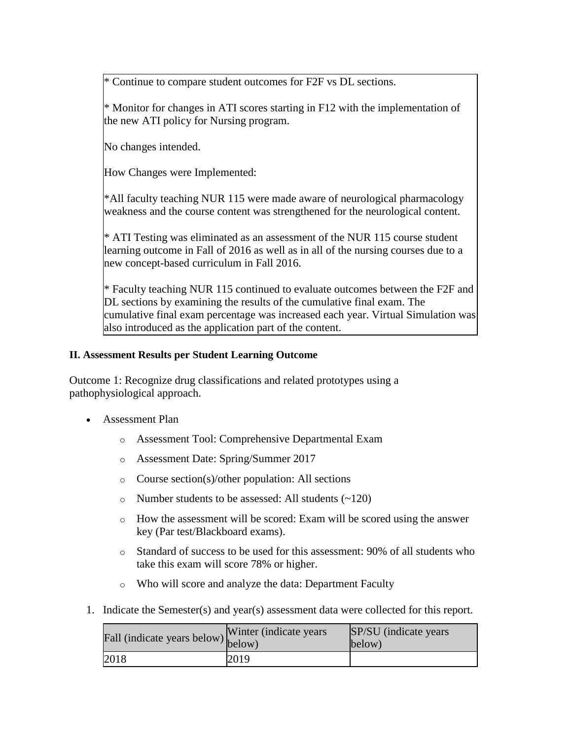\* Continue to compare student outcomes for F2F vs DL sections.

 $*$  Monitor for changes in ATI scores starting in F12 with the implementation of the new ATI policy for Nursing program.

No changes intended.

How Changes were Implemented:

\*All faculty teaching NUR 115 were made aware of neurological pharmacology weakness and the course content was strengthened for the neurological content.

\* ATI Testing was eliminated as an assessment of the NUR 115 course student learning outcome in Fall of 2016 as well as in all of the nursing courses due to a new concept-based curriculum in Fall 2016.

\* Faculty teaching NUR 115 continued to evaluate outcomes between the F2F and DL sections by examining the results of the cumulative final exam. The cumulative final exam percentage was increased each year. Virtual Simulation was also introduced as the application part of the content.

#### **II. Assessment Results per Student Learning Outcome**

Outcome 1: Recognize drug classifications and related prototypes using a pathophysiological approach.

- Assessment Plan
	- o Assessment Tool: Comprehensive Departmental Exam
	- o Assessment Date: Spring/Summer 2017
	- o Course section(s)/other population: All sections
	- o Number students to be assessed: All students (~120)
	- o How the assessment will be scored: Exam will be scored using the answer key (Par test/Blackboard exams).
	- o Standard of success to be used for this assessment: 90% of all students who take this exam will score 78% or higher.
	- o Who will score and analyze the data: Department Faculty
- 1. Indicate the Semester(s) and year(s) assessment data were collected for this report.

| Fall (indicate years below) below) | Winter (indicate years) | SP/SU (indicate years)<br>below) |
|------------------------------------|-------------------------|----------------------------------|
| 2018                               | 2019                    |                                  |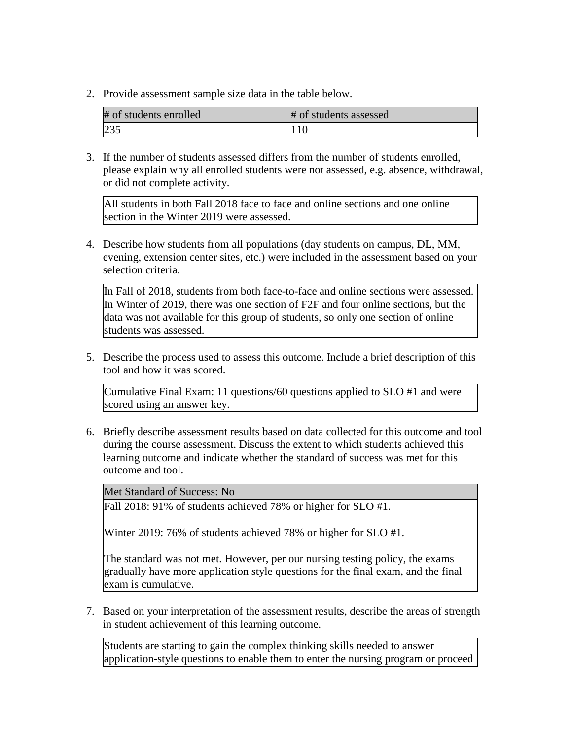2. Provide assessment sample size data in the table below.

| # of students enrolled | # of students assessed |
|------------------------|------------------------|
| 235                    |                        |

3. If the number of students assessed differs from the number of students enrolled, please explain why all enrolled students were not assessed, e.g. absence, withdrawal, or did not complete activity.

All students in both Fall 2018 face to face and online sections and one online section in the Winter 2019 were assessed.

4. Describe how students from all populations (day students on campus, DL, MM, evening, extension center sites, etc.) were included in the assessment based on your selection criteria.

In Fall of 2018, students from both face-to-face and online sections were assessed. In Winter of 2019, there was one section of F2F and four online sections, but the data was not available for this group of students, so only one section of online students was assessed.

5. Describe the process used to assess this outcome. Include a brief description of this tool and how it was scored.

Cumulative Final Exam: 11 questions/60 questions applied to SLO #1 and were scored using an answer key.

6. Briefly describe assessment results based on data collected for this outcome and tool during the course assessment. Discuss the extent to which students achieved this learning outcome and indicate whether the standard of success was met for this outcome and tool.

Met Standard of Success: No

Fall 2018: 91% of students achieved 78% or higher for SLO #1.

Winter 2019: 76% of students achieved 78% or higher for SLO #1.

The standard was not met. However, per our nursing testing policy, the exams gradually have more application style questions for the final exam, and the final exam is cumulative.

7. Based on your interpretation of the assessment results, describe the areas of strength in student achievement of this learning outcome.

Students are starting to gain the complex thinking skills needed to answer application-style questions to enable them to enter the nursing program or proceed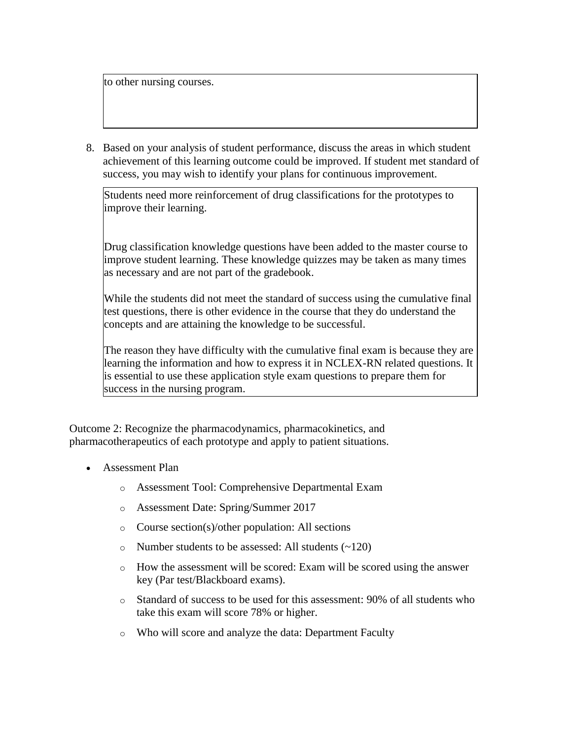to other nursing courses.

8. Based on your analysis of student performance, discuss the areas in which student achievement of this learning outcome could be improved. If student met standard of success, you may wish to identify your plans for continuous improvement.

Students need more reinforcement of drug classifications for the prototypes to improve their learning.

Drug classification knowledge questions have been added to the master course to improve student learning. These knowledge quizzes may be taken as many times as necessary and are not part of the gradebook.

While the students did not meet the standard of success using the cumulative final test questions, there is other evidence in the course that they do understand the concepts and are attaining the knowledge to be successful.

The reason they have difficulty with the cumulative final exam is because they are learning the information and how to express it in NCLEX-RN related questions. It is essential to use these application style exam questions to prepare them for success in the nursing program.

Outcome 2: Recognize the pharmacodynamics, pharmacokinetics, and pharmacotherapeutics of each prototype and apply to patient situations.

- Assessment Plan
	- o Assessment Tool: Comprehensive Departmental Exam
	- o Assessment Date: Spring/Summer 2017
	- o Course section(s)/other population: All sections
	- $\circ$  Number students to be assessed: All students  $(\sim 120)$
	- o How the assessment will be scored: Exam will be scored using the answer key (Par test/Blackboard exams).
	- o Standard of success to be used for this assessment: 90% of all students who take this exam will score 78% or higher.
	- o Who will score and analyze the data: Department Faculty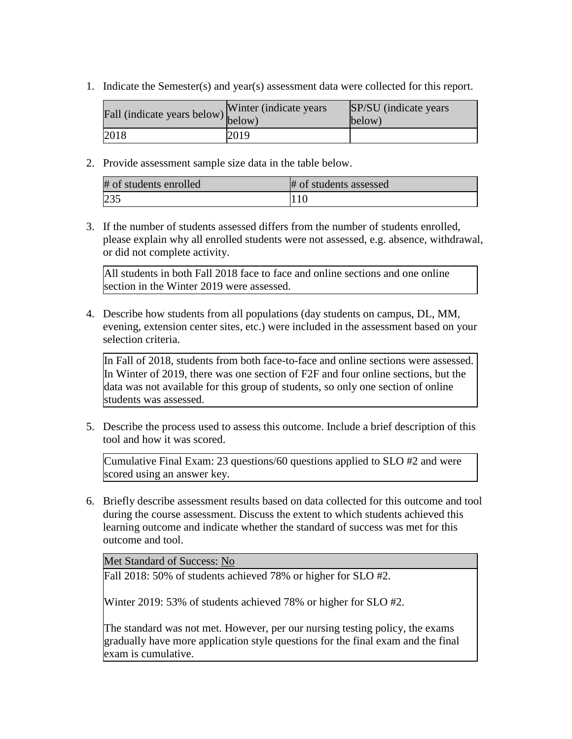1. Indicate the Semester(s) and year(s) assessment data were collected for this report.

| Fall (indicate years below) below) | Winter (indicate years) | SP/SU (indicate years)<br>below) |
|------------------------------------|-------------------------|----------------------------------|
| 2018                               | 2019                    |                                  |

2. Provide assessment sample size data in the table below.

| # of students enrolled | # of students assessed |
|------------------------|------------------------|
| 235                    |                        |

3. If the number of students assessed differs from the number of students enrolled, please explain why all enrolled students were not assessed, e.g. absence, withdrawal, or did not complete activity.

All students in both Fall 2018 face to face and online sections and one online section in the Winter 2019 were assessed.

4. Describe how students from all populations (day students on campus, DL, MM, evening, extension center sites, etc.) were included in the assessment based on your selection criteria.

In Fall of 2018, students from both face-to-face and online sections were assessed. In Winter of 2019, there was one section of F2F and four online sections, but the data was not available for this group of students, so only one section of online students was assessed.

5. Describe the process used to assess this outcome. Include a brief description of this tool and how it was scored.

Cumulative Final Exam: 23 questions/60 questions applied to SLO #2 and were scored using an answer key.

6. Briefly describe assessment results based on data collected for this outcome and tool during the course assessment. Discuss the extent to which students achieved this learning outcome and indicate whether the standard of success was met for this outcome and tool.

Met Standard of Success: No

Fall 2018: 50% of students achieved 78% or higher for SLO #2.

Winter 2019: 53% of students achieved 78% or higher for SLO #2.

The standard was not met. However, per our nursing testing policy, the exams gradually have more application style questions for the final exam and the final exam is cumulative.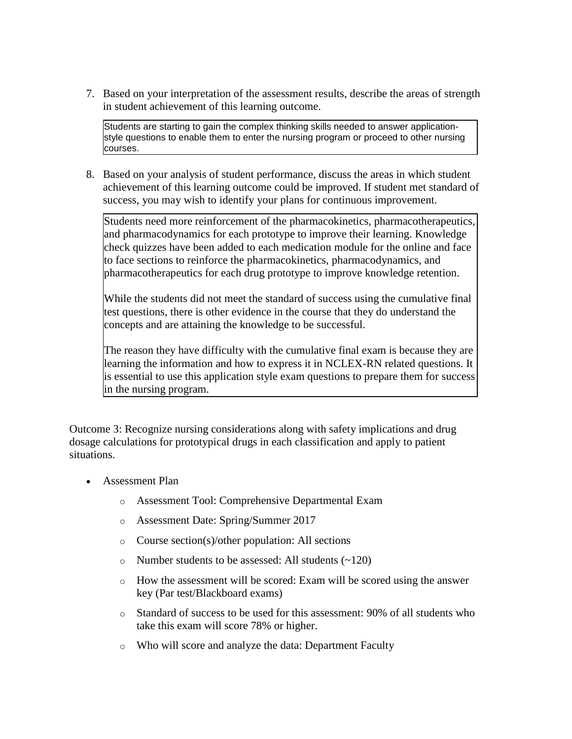7. Based on your interpretation of the assessment results, describe the areas of strength in student achievement of this learning outcome.

Students are starting to gain the complex thinking skills needed to answer applicationstyle questions to enable them to enter the nursing program or proceed to other nursing courses.

8. Based on your analysis of student performance, discuss the areas in which student achievement of this learning outcome could be improved. If student met standard of success, you may wish to identify your plans for continuous improvement.

Students need more reinforcement of the pharmacokinetics, pharmacotherapeutics, and pharmacodynamics for each prototype to improve their learning. Knowledge check quizzes have been added to each medication module for the online and face to face sections to reinforce the pharmacokinetics, pharmacodynamics, and pharmacotherapeutics for each drug prototype to improve knowledge retention.

While the students did not meet the standard of success using the cumulative final test questions, there is other evidence in the course that they do understand the concepts and are attaining the knowledge to be successful.

The reason they have difficulty with the cumulative final exam is because they are learning the information and how to express it in NCLEX-RN related questions. It is essential to use this application style exam questions to prepare them for success in the nursing program.

Outcome 3: Recognize nursing considerations along with safety implications and drug dosage calculations for prototypical drugs in each classification and apply to patient situations.

- Assessment Plan
	- o Assessment Tool: Comprehensive Departmental Exam
	- o Assessment Date: Spring/Summer 2017
	- o Course section(s)/other population: All sections
	- o Number students to be assessed: All students (~120)
	- o How the assessment will be scored: Exam will be scored using the answer key (Par test/Blackboard exams)
	- $\circ$  Standard of success to be used for this assessment: 90% of all students who take this exam will score 78% or higher.
	- o Who will score and analyze the data: Department Faculty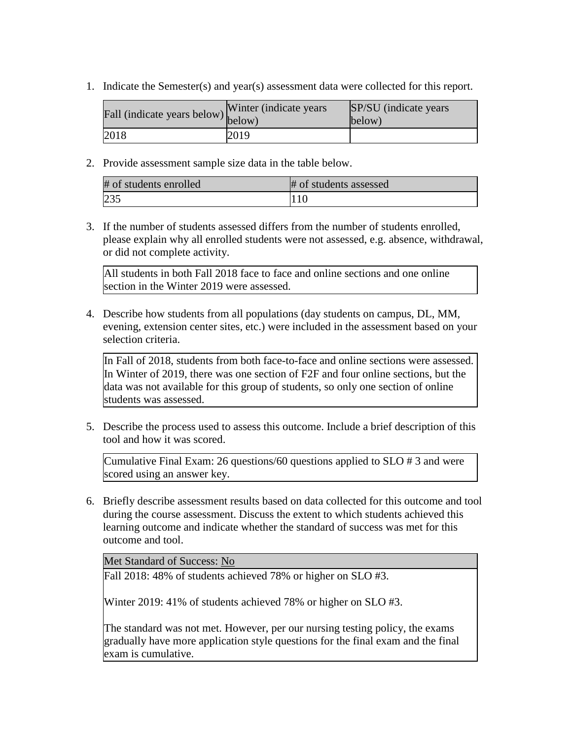1. Indicate the Semester(s) and year(s) assessment data were collected for this report.

| Fall (indicate years below) below) | Winter (indicate years) | SP/SU (indicate years)<br>below) |
|------------------------------------|-------------------------|----------------------------------|
| 2018                               | 2019                    |                                  |

2. Provide assessment sample size data in the table below.

| # of students enrolled | # of students assessed |
|------------------------|------------------------|
| 235                    |                        |

3. If the number of students assessed differs from the number of students enrolled, please explain why all enrolled students were not assessed, e.g. absence, withdrawal, or did not complete activity.

All students in both Fall 2018 face to face and online sections and one online section in the Winter 2019 were assessed.

4. Describe how students from all populations (day students on campus, DL, MM, evening, extension center sites, etc.) were included in the assessment based on your selection criteria.

In Fall of 2018, students from both face-to-face and online sections were assessed. In Winter of 2019, there was one section of F2F and four online sections, but the data was not available for this group of students, so only one section of online students was assessed.

5. Describe the process used to assess this outcome. Include a brief description of this tool and how it was scored.

Cumulative Final Exam: 26 questions/60 questions applied to SLO # 3 and were scored using an answer key.

6. Briefly describe assessment results based on data collected for this outcome and tool during the course assessment. Discuss the extent to which students achieved this learning outcome and indicate whether the standard of success was met for this outcome and tool.

Met Standard of Success: No

Fall 2018: 48% of students achieved 78% or higher on SLO #3.

Winter 2019: 41% of students achieved 78% or higher on SLO #3.

The standard was not met. However, per our nursing testing policy, the exams gradually have more application style questions for the final exam and the final exam is cumulative.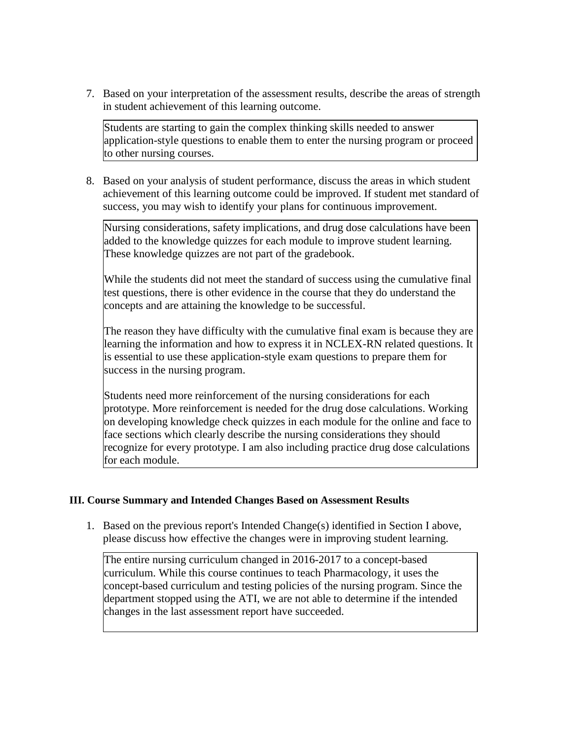7. Based on your interpretation of the assessment results, describe the areas of strength in student achievement of this learning outcome.

Students are starting to gain the complex thinking skills needed to answer application-style questions to enable them to enter the nursing program or proceed to other nursing courses.

8. Based on your analysis of student performance, discuss the areas in which student achievement of this learning outcome could be improved. If student met standard of success, you may wish to identify your plans for continuous improvement.

Nursing considerations, safety implications, and drug dose calculations have been added to the knowledge quizzes for each module to improve student learning. These knowledge quizzes are not part of the gradebook.

While the students did not meet the standard of success using the cumulative final test questions, there is other evidence in the course that they do understand the concepts and are attaining the knowledge to be successful.

The reason they have difficulty with the cumulative final exam is because they are learning the information and how to express it in NCLEX-RN related questions. It is essential to use these application-style exam questions to prepare them for success in the nursing program.

Students need more reinforcement of the nursing considerations for each prototype. More reinforcement is needed for the drug dose calculations. Working on developing knowledge check quizzes in each module for the online and face to face sections which clearly describe the nursing considerations they should recognize for every prototype. I am also including practice drug dose calculations for each module.

#### **III. Course Summary and Intended Changes Based on Assessment Results**

1. Based on the previous report's Intended Change(s) identified in Section I above, please discuss how effective the changes were in improving student learning.

The entire nursing curriculum changed in 2016-2017 to a concept-based curriculum. While this course continues to teach Pharmacology, it uses the concept-based curriculum and testing policies of the nursing program. Since the department stopped using the ATI, we are not able to determine if the intended changes in the last assessment report have succeeded.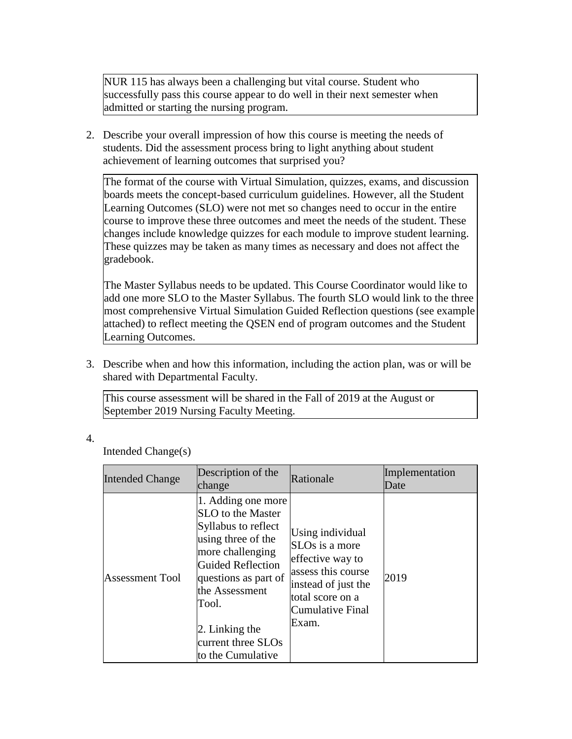NUR 115 has always been a challenging but vital course. Student who successfully pass this course appear to do well in their next semester when admitted or starting the nursing program.

2. Describe your overall impression of how this course is meeting the needs of students. Did the assessment process bring to light anything about student achievement of learning outcomes that surprised you?

The format of the course with Virtual Simulation, quizzes, exams, and discussion boards meets the concept-based curriculum guidelines. However, all the Student Learning Outcomes (SLO) were not met so changes need to occur in the entire course to improve these three outcomes and meet the needs of the student. These changes include knowledge quizzes for each module to improve student learning. These quizzes may be taken as many times as necessary and does not affect the gradebook.

The Master Syllabus needs to be updated. This Course Coordinator would like to add one more SLO to the Master Syllabus. The fourth SLO would link to the three most comprehensive Virtual Simulation Guided Reflection questions (see example attached) to reflect meeting the QSEN end of program outcomes and the Student Learning Outcomes.

3. Describe when and how this information, including the action plan, was or will be shared with Departmental Faculty.

This course assessment will be shared in the Fall of 2019 at the August or September 2019 Nursing Faculty Meeting.

4.

Intended Change(s)

| <b>Intended Change</b> | Description of the<br>change                                                                                                                                                                                                                                 | Rationale                                                                                                                                                        | Implementation<br>Date |
|------------------------|--------------------------------------------------------------------------------------------------------------------------------------------------------------------------------------------------------------------------------------------------------------|------------------------------------------------------------------------------------------------------------------------------------------------------------------|------------------------|
| <b>Assessment Tool</b> | 1. Adding one more<br>SLO to the Master<br>Syllabus to reflect<br>using three of the<br>more challenging<br><b>Guided Reflection</b><br>questions as part of<br>the Assessment<br>Tool.<br>$\vert$ 2. Linking the<br>current three SLOs<br>to the Cumulative | Using individual<br>SLO <sub>s</sub> is a more<br>effective way to<br>assess this course<br>instead of just the<br>total score on a<br>Cumulative Final<br>Exam. | 2019                   |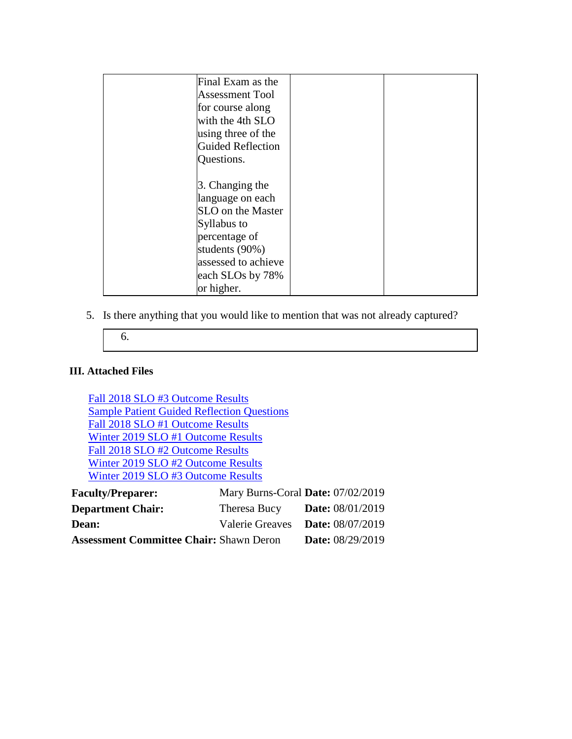| Final Exam as the<br><b>Assessment Tool</b> |  |
|---------------------------------------------|--|
| for course along                            |  |
| with the 4th SLO                            |  |
| using three of the                          |  |
| <b>Guided Reflection</b>                    |  |
| Questions.                                  |  |
|                                             |  |
| 3. Changing the                             |  |
| language on each                            |  |
| SLO on the Master                           |  |
| Syllabus to                                 |  |
| percentage of                               |  |
| students (90%)                              |  |
| assessed to achieve                         |  |
| each SLOs by 78%                            |  |
| or higher.                                  |  |

5. Is there anything that you would like to mention that was not already captured?

#### **III. Attached Files**

[Fall 2018 SLO #3 Outcome Results](documents/Fall%202018%20NUR%20115%20SLO#32.pdf) [Sample Patient Guided Reflection Questions](documents/Sample%20Patient-Guided%20Reflection%20Questions%20Example.docx) [Fall 2018 SLO #1 Outcome Results](documents/Fall%202018%20NUR%20115%20SLO#12.pdf) [Winter 2019 SLO #1 Outcome Results](documents/Winter%202019%20NUR%20115%20SLO#12.pdf) [Fall 2018 SLO #2 Outcome Results](documents/Fall%202018%20NUR%20115%20SLO#22.pdf) [Winter 2019 SLO #2 Outcome Results](documents/Winter%202019%20NUR%20115%20SLO#22.pdf) [Winter 2019 SLO #3 Outcome Results](documents/Winter%202019%20NUR%20115%20SLO#32.pdf) **Faculty/Preparer:** Mary Burns-Coral **Date:** 07/02/2019 **Department Chair:** Theresa Bucy **Date:** 08/01/2019

| Deput emente enunt :                           |                                  |
|------------------------------------------------|----------------------------------|
| <b>Dean:</b>                                   | Valerie Greaves Date: 08/07/2019 |
| <b>Assessment Committee Chair: Shawn Deron</b> | <b>Date:</b> 08/29/2019          |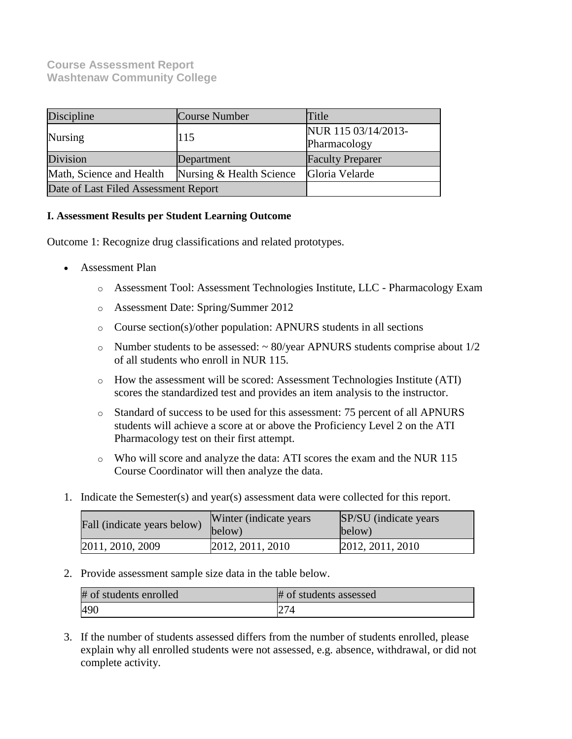# **Course Assessment Report Washtenaw Community College**

| Discipline                                           | Course Number | Title                               |
|------------------------------------------------------|---------------|-------------------------------------|
| <b>Nursing</b>                                       | 115           | NUR 115 03/14/2013-<br>Pharmacology |
| Division                                             | Department    | <b>Faculty Preparer</b>             |
| Math, Science and Health<br>Nursing & Health Science |               | Gloria Velarde                      |
| Date of Last Filed Assessment Report                 |               |                                     |

#### **I. Assessment Results per Student Learning Outcome**

Outcome 1: Recognize drug classifications and related prototypes.

- Assessment Plan
	- o Assessment Tool: Assessment Technologies Institute, LLC Pharmacology Exam
	- o Assessment Date: Spring/Summer 2012
	- o Course section(s)/other population: APNURS students in all sections
	- $\circ$  Number students to be assessed:  $\sim$  80/year APNURS students comprise about 1/2 of all students who enroll in NUR 115.
	- o How the assessment will be scored: Assessment Technologies Institute (ATI) scores the standardized test and provides an item analysis to the instructor.
	- o Standard of success to be used for this assessment: 75 percent of all APNURS students will achieve a score at or above the Proficiency Level 2 on the ATI Pharmacology test on their first attempt.
	- o Who will score and analyze the data: ATI scores the exam and the NUR 115 Course Coordinator will then analyze the data.
- 1. Indicate the Semester(s) and year(s) assessment data were collected for this report.

| Fall (indicate years below) | Winter (indicate years)<br>below) | <b>SP/SU</b> (indicate years)<br>below) |
|-----------------------------|-----------------------------------|-----------------------------------------|
| 2011, 2010, 2009            | 2012, 2011, 2010                  | 2012, 2011, 2010                        |

2. Provide assessment sample size data in the table below.

| # of students enrolled | # of students assessed |
|------------------------|------------------------|
| 490                    | 274                    |

3. If the number of students assessed differs from the number of students enrolled, please explain why all enrolled students were not assessed, e.g. absence, withdrawal, or did not complete activity.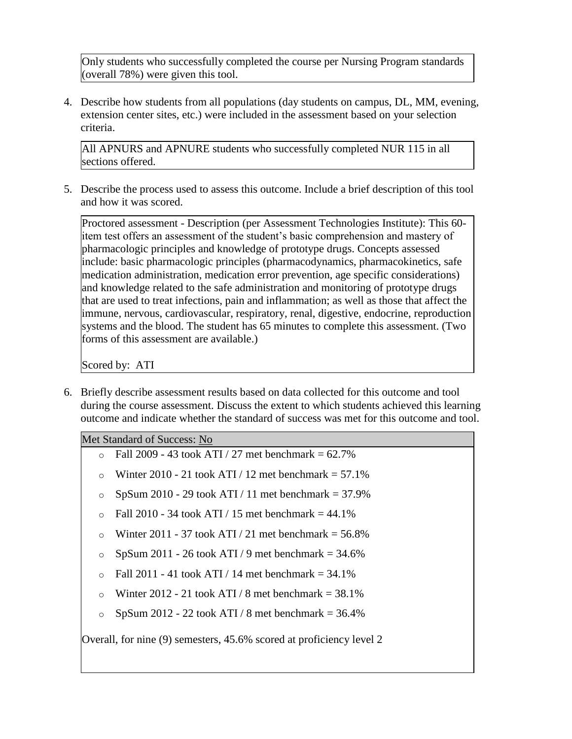Only students who successfully completed the course per Nursing Program standards (overall 78%) were given this tool.

4. Describe how students from all populations (day students on campus, DL, MM, evening, extension center sites, etc.) were included in the assessment based on your selection criteria.

All APNURS and APNURE students who successfully completed NUR 115 in all sections offered.

5. Describe the process used to assess this outcome. Include a brief description of this tool and how it was scored.

Proctored assessment - Description (per Assessment Technologies Institute): This 60 item test offers an assessment of the student's basic comprehension and mastery of pharmacologic principles and knowledge of prototype drugs. Concepts assessed include: basic pharmacologic principles (pharmacodynamics, pharmacokinetics, safe medication administration, medication error prevention, age specific considerations) and knowledge related to the safe administration and monitoring of prototype drugs that are used to treat infections, pain and inflammation; as well as those that affect the immune, nervous, cardiovascular, respiratory, renal, digestive, endocrine, reproduction systems and the blood. The student has 65 minutes to complete this assessment. (Two forms of this assessment are available.)

Scored by: ATI

6. Briefly describe assessment results based on data collected for this outcome and tool during the course assessment. Discuss the extent to which students achieved this learning outcome and indicate whether the standard of success was met for this outcome and tool.

Met Standard of Success: No

- $\circ$  Fall 2009 43 took ATI / 27 met benchmark = 62.7%
- o Winter 2010 21 took ATI / 12 met benchmark  $= 57.1\%$
- $\degree$  SpSum 2010 29 took ATI / 11 met benchmark = 37.9%
- $\circ$  Fall 2010 34 took ATI / 15 met benchmark = 44.1%
- o Winter 2011 37 took ATI / 21 met benchmark =  $56.8\%$
- $\degree$  SpSum 2011 26 took ATI / 9 met benchmark = 34.6%
- $\circ$  Fall 2011 41 took ATI / 14 met benchmark = 34.1%
- o Winter 2012 21 took ATI / 8 met benchmark  $= 38.1\%$
- $\degree$  SpSum 2012 22 took ATI / 8 met benchmark = 36.4%

Overall, for nine (9) semesters, 45.6% scored at proficiency level 2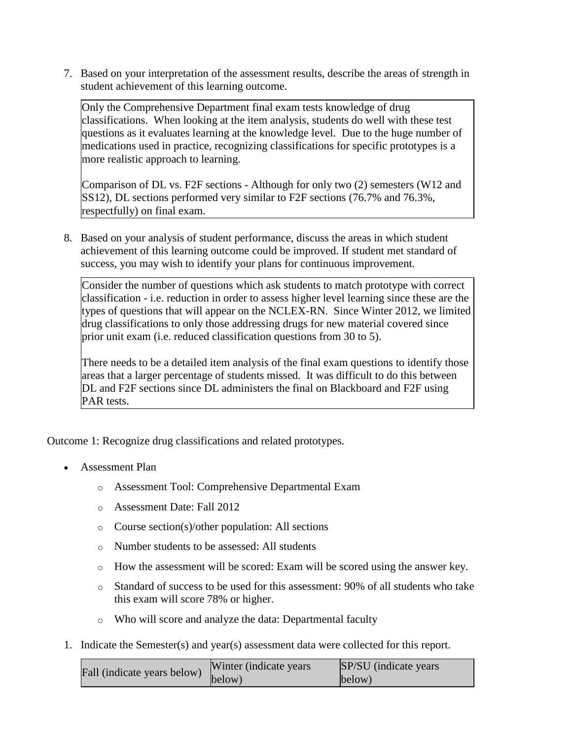7. Based on your interpretation of the assessment results, describe the areas of strength in student achievement of this learning outcome.

Only the Comprehensive Department final exam tests knowledge of drug classifications. When looking at the item analysis, students do well with these test questions as it evaluates learning at the knowledge level. Due to the huge number of medications used in practice, recognizing classifications for specific prototypes is a more realistic approach to learning.

Comparison of DL vs. F2F sections - Although for only two (2) semesters (W12 and SS12), DL sections performed very similar to F2F sections (76.7% and 76.3%, respectfully) on final exam.

8. Based on your analysis of student performance, discuss the areas in which student achievement of this learning outcome could be improved. If student met standard of success, you may wish to identify your plans for continuous improvement.

Consider the number of questions which ask students to match prototype with correct classification - i.e. reduction in order to assess higher level learning since these are the types of questions that will appear on the NCLEX-RN. Since Winter 2012, we limited drug classifications to only those addressing drugs for new material covered since prior unit exam (i.e. reduced classification questions from 30 to 5).

There needs to be a detailed item analysis of the final exam questions to identify those areas that a larger percentage of students missed. It was difficult to do this between DL and F2F sections since DL administers the final on Blackboard and F2F using PAR tests.

Outcome 1: Recognize drug classifications and related prototypes.

- Assessment Plan
	- o Assessment Tool: Comprehensive Departmental Exam
	- o Assessment Date: Fall 2012
	- o Course section(s)/other population: All sections
	- o Number students to be assessed: All students
	- o How the assessment will be scored: Exam will be scored using the answer key.
	- o Standard of success to be used for this assessment: 90% of all students who take this exam will score 78% or higher.
	- o Who will score and analyze the data: Departmental faculty
- 1. Indicate the Semester(s) and year(s) assessment data were collected for this report.

| Fall (indicate years below) | Winter (indicate years) | SP/SU (indicate years) |
|-----------------------------|-------------------------|------------------------|
|                             | below)                  | below)                 |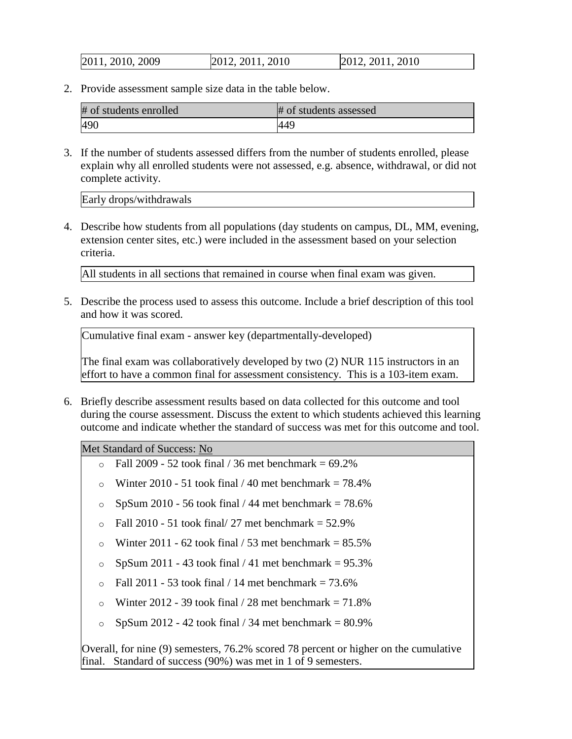| 2011, 2010, 2009 | 2012, 2011, 2010 | 2012, 2011, 2010 |
|------------------|------------------|------------------|
|------------------|------------------|------------------|

2. Provide assessment sample size data in the table below.

| # of students enrolled | # of students assessed |
|------------------------|------------------------|
| 490                    | 144 <sup>c</sup>       |

3. If the number of students assessed differs from the number of students enrolled, please explain why all enrolled students were not assessed, e.g. absence, withdrawal, or did not complete activity.

Early drops/withdrawals

4. Describe how students from all populations (day students on campus, DL, MM, evening, extension center sites, etc.) were included in the assessment based on your selection criteria.

All students in all sections that remained in course when final exam was given.

5. Describe the process used to assess this outcome. Include a brief description of this tool and how it was scored.

Cumulative final exam - answer key (departmentally-developed)

The final exam was collaboratively developed by two (2) NUR 115 instructors in an effort to have a common final for assessment consistency. This is a 103-item exam.

6. Briefly describe assessment results based on data collected for this outcome and tool during the course assessment. Discuss the extent to which students achieved this learning outcome and indicate whether the standard of success was met for this outcome and tool.

Met Standard of Success: No

- $\circ$  Fall 2009 52 took final / 36 met benchmark = 69.2%
- o Winter 2010 51 took final  $/$  40 met benchmark = 78.4%
- $\degree$  SpSum 2010 56 took final / 44 met benchmark = 78.6%
- $\circ$  Fall 2010 51 took final/ 27 met benchmark = 52.9%
- $\circ$  Winter 2011 62 took final / 53 met benchmark = 85.5%
- $\degree$  SpSum 2011 43 took final / 41 met benchmark = 95.3%
- $\circ$  Fall 2011 53 took final / 14 met benchmark = 73.6%
- $\circ$  Winter 2012 39 took final / 28 met benchmark = 71.8%
- $\degree$  SpSum 2012 42 took final / 34 met benchmark = 80.9%

Overall, for nine (9) semesters, 76.2% scored 78 percent or higher on the cumulative final. Standard of success (90%) was met in 1 of 9 semesters.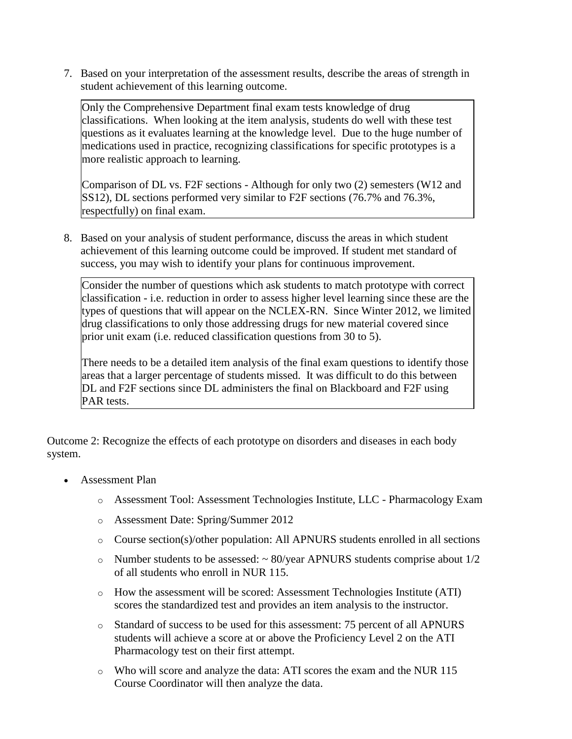7. Based on your interpretation of the assessment results, describe the areas of strength in student achievement of this learning outcome.

Only the Comprehensive Department final exam tests knowledge of drug classifications. When looking at the item analysis, students do well with these test questions as it evaluates learning at the knowledge level. Due to the huge number of medications used in practice, recognizing classifications for specific prototypes is a more realistic approach to learning.

Comparison of DL vs. F2F sections - Although for only two (2) semesters (W12 and SS12), DL sections performed very similar to F2F sections (76.7% and 76.3%, respectfully) on final exam.

8. Based on your analysis of student performance, discuss the areas in which student achievement of this learning outcome could be improved. If student met standard of success, you may wish to identify your plans for continuous improvement.

Consider the number of questions which ask students to match prototype with correct classification - i.e. reduction in order to assess higher level learning since these are the types of questions that will appear on the NCLEX-RN. Since Winter 2012, we limited drug classifications to only those addressing drugs for new material covered since prior unit exam (i.e. reduced classification questions from 30 to 5).

There needs to be a detailed item analysis of the final exam questions to identify those areas that a larger percentage of students missed. It was difficult to do this between DL and F2F sections since DL administers the final on Blackboard and F2F using PAR tests.

Outcome 2: Recognize the effects of each prototype on disorders and diseases in each body system.

- Assessment Plan
	- o Assessment Tool: Assessment Technologies Institute, LLC Pharmacology Exam
	- o Assessment Date: Spring/Summer 2012
	- o Course section(s)/other population: All APNURS students enrolled in all sections
	- $\circ$  Number students to be assessed:  $\sim$  80/year APNURS students comprise about 1/2 of all students who enroll in NUR 115.
	- o How the assessment will be scored: Assessment Technologies Institute (ATI) scores the standardized test and provides an item analysis to the instructor.
	- o Standard of success to be used for this assessment: 75 percent of all APNURS students will achieve a score at or above the Proficiency Level 2 on the ATI Pharmacology test on their first attempt.
	- o Who will score and analyze the data: ATI scores the exam and the NUR 115 Course Coordinator will then analyze the data.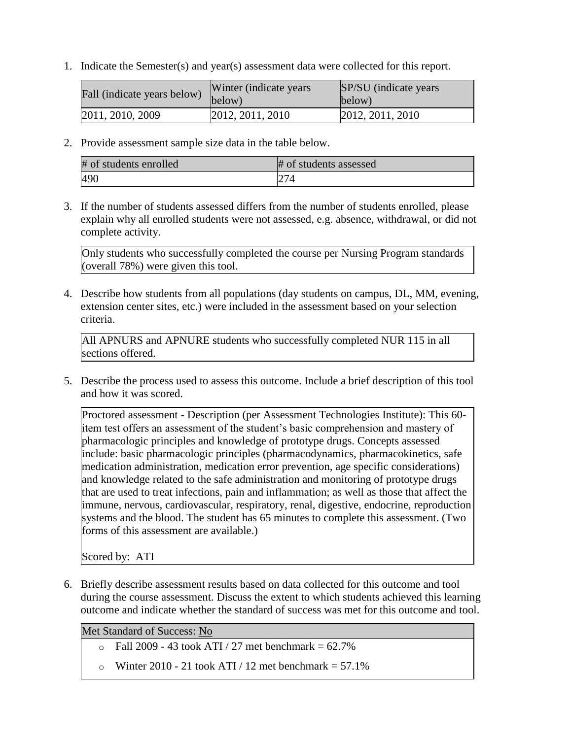1. Indicate the Semester(s) and year(s) assessment data were collected for this report.

| Fall (indicate years below) | Winter (indicate years)<br>below) | SP/SU (indicate years)<br>below) |
|-----------------------------|-----------------------------------|----------------------------------|
| 2011, 2010, 2009            | 2012, 2011, 2010                  | 2012, 2011, 2010                 |

2. Provide assessment sample size data in the table below.

| # of students enrolled | # of students assessed |
|------------------------|------------------------|
| 490                    | 274                    |

3. If the number of students assessed differs from the number of students enrolled, please explain why all enrolled students were not assessed, e.g. absence, withdrawal, or did not complete activity.

Only students who successfully completed the course per Nursing Program standards (overall 78%) were given this tool.

4. Describe how students from all populations (day students on campus, DL, MM, evening, extension center sites, etc.) were included in the assessment based on your selection criteria.

All APNURS and APNURE students who successfully completed NUR 115 in all sections offered.

5. Describe the process used to assess this outcome. Include a brief description of this tool and how it was scored.

Proctored assessment - Description (per Assessment Technologies Institute): This 60 item test offers an assessment of the student's basic comprehension and mastery of pharmacologic principles and knowledge of prototype drugs. Concepts assessed include: basic pharmacologic principles (pharmacodynamics, pharmacokinetics, safe medication administration, medication error prevention, age specific considerations) and knowledge related to the safe administration and monitoring of prototype drugs that are used to treat infections, pain and inflammation; as well as those that affect the immune, nervous, cardiovascular, respiratory, renal, digestive, endocrine, reproduction systems and the blood. The student has 65 minutes to complete this assessment. (Two forms of this assessment are available.)

Scored by: ATI

6. Briefly describe assessment results based on data collected for this outcome and tool during the course assessment. Discuss the extent to which students achieved this learning outcome and indicate whether the standard of success was met for this outcome and tool.

Met Standard of Success: No

- $\circ$  Fall 2009 43 took ATI / 27 met benchmark = 62.7%
- $\circ$  Winter 2010 21 took ATI / 12 met benchmark = 57.1%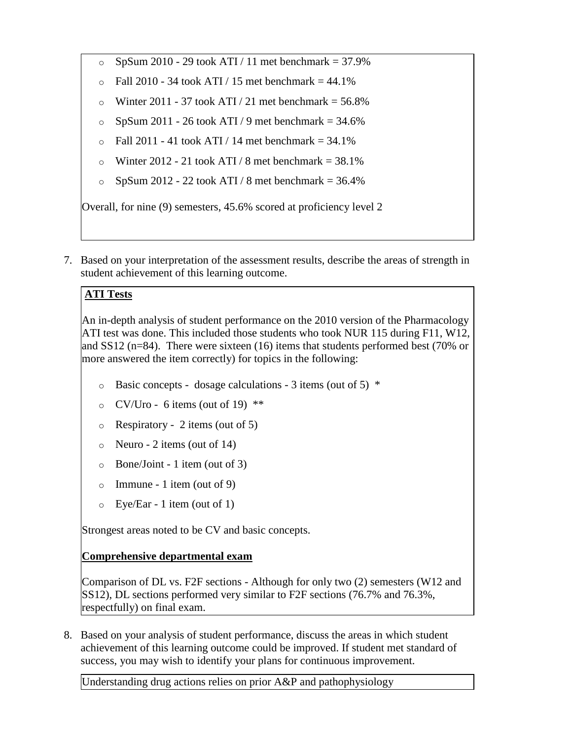- $\degree$  SpSum 2010 29 took ATI / 11 met benchmark = 37.9%
- $\circ$  Fall 2010 34 took ATI / 15 met benchmark = 44.1%
- $\degree$  Winter 2011 37 took ATI / 21 met benchmark = 56.8%
- $\degree$  SpSum 2011 26 took ATI / 9 met benchmark = 34.6%
- $\circ$  Fall 2011 41 took ATI / 14 met benchmark = 34.1%
- $\degree$  Winter 2012 21 took ATI / 8 met benchmark = 38.1%
- $\degree$  SpSum 2012 22 took ATI / 8 met benchmark = 36.4%

Overall, for nine (9) semesters, 45.6% scored at proficiency level 2

7. Based on your interpretation of the assessment results, describe the areas of strength in student achievement of this learning outcome.

# **ATI Tests**

An in-depth analysis of student performance on the 2010 version of the Pharmacology ATI test was done. This included those students who took NUR 115 during F11, W12, and SS12 (n=84). There were sixteen (16) items that students performed best (70% or more answered the item correctly) for topics in the following:

- $\circ$  Basic concepts dosage calculations 3 items (out of 5)  $*$
- $\degree$  CV/Uro 6 items (out of 19) \*\*
- $\circ$  Respiratory 2 items (out of 5)
- $\circ$  Neuro 2 items (out of 14)
- Bone/Joint 1 item (out of 3)
- Immune 1 item (out of 9)
- o Eye/Ear 1 item (out of 1)

Strongest areas noted to be CV and basic concepts.

### **Comprehensive departmental exam**

Comparison of DL vs. F2F sections - Although for only two (2) semesters (W12 and SS12), DL sections performed very similar to F2F sections (76.7% and 76.3%, respectfully) on final exam.

8. Based on your analysis of student performance, discuss the areas in which student achievement of this learning outcome could be improved. If student met standard of success, you may wish to identify your plans for continuous improvement.

Understanding drug actions relies on prior A&P and pathophysiology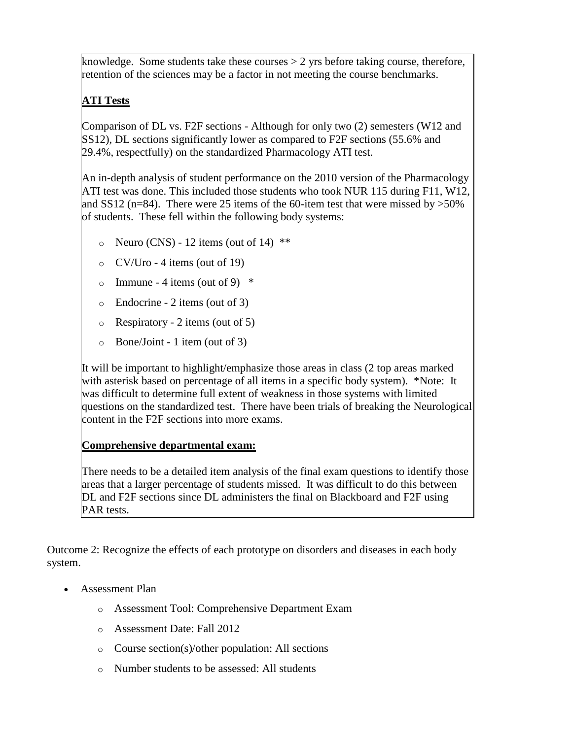knowledge. Some students take these courses  $> 2$  yrs before taking course, therefore, retention of the sciences may be a factor in not meeting the course benchmarks.

# **ATI Tests**

Comparison of DL vs. F2F sections - Although for only two (2) semesters (W12 and SS12), DL sections significantly lower as compared to F2F sections (55.6% and 29.4%, respectfully) on the standardized Pharmacology ATI test.

An in-depth analysis of student performance on the 2010 version of the Pharmacology ATI test was done. This included those students who took NUR 115 during F11, W12, and SS12 (n=84). There were 25 items of the 60-item test that were missed by  $>50\%$ of students. These fell within the following body systems:

- $\circ$  Neuro (CNS) 12 items (out of 14) \*\*
- $\circ$  CV/Uro 4 items (out of 19)
- o Immune 4 items (out of 9)  $*$
- o Endocrine 2 items (out of 3)
- o Respiratory 2 items (out of 5)
- o Bone/Joint 1 item (out of 3)

It will be important to highlight/emphasize those areas in class (2 top areas marked with asterisk based on percentage of all items in a specific body system). \*Note: It was difficult to determine full extent of weakness in those systems with limited questions on the standardized test. There have been trials of breaking the Neurological content in the F2F sections into more exams.

# **Comprehensive departmental exam:**

There needs to be a detailed item analysis of the final exam questions to identify those areas that a larger percentage of students missed. It was difficult to do this between DL and F2F sections since DL administers the final on Blackboard and F2F using PAR tests.

Outcome 2: Recognize the effects of each prototype on disorders and diseases in each body system.

- Assessment Plan
	- o Assessment Tool: Comprehensive Department Exam
	- o Assessment Date: Fall 2012
	- o Course section(s)/other population: All sections
	- o Number students to be assessed: All students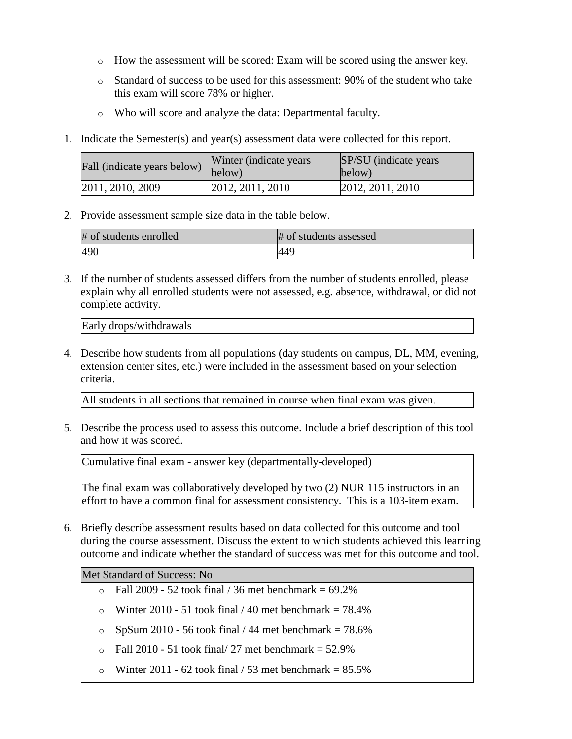- o How the assessment will be scored: Exam will be scored using the answer key.
- o Standard of success to be used for this assessment: 90% of the student who take this exam will score 78% or higher.
- o Who will score and analyze the data: Departmental faculty.
- 1. Indicate the Semester(s) and year(s) assessment data were collected for this report.

| Fall (indicate years below) | Winter (indicate years)<br>below) | SP/SU (indicate years)<br>below) |
|-----------------------------|-----------------------------------|----------------------------------|
| 2011, 2010, 2009            | 2012, 2011, 2010                  | 2012, 2011, 2010                 |

2. Provide assessment sample size data in the table below.

| # of students enrolled | # of students assessed |
|------------------------|------------------------|
| 490                    | 44 <sup>c</sup>        |

3. If the number of students assessed differs from the number of students enrolled, please explain why all enrolled students were not assessed, e.g. absence, withdrawal, or did not complete activity.

Early drops/withdrawals

4. Describe how students from all populations (day students on campus, DL, MM, evening, extension center sites, etc.) were included in the assessment based on your selection criteria.

All students in all sections that remained in course when final exam was given.

5. Describe the process used to assess this outcome. Include a brief description of this tool and how it was scored.

Cumulative final exam - answer key (departmentally-developed)

The final exam was collaboratively developed by two (2) NUR 115 instructors in an effort to have a common final for assessment consistency. This is a 103-item exam.

6. Briefly describe assessment results based on data collected for this outcome and tool during the course assessment. Discuss the extent to which students achieved this learning outcome and indicate whether the standard of success was met for this outcome and tool.

Met Standard of Success: No

- $\epsilon$  Fall 2009 52 took final / 36 met benchmark = 69.2%
- $\circ$  Winter 2010 51 took final / 40 met benchmark = 78.4%
- $\degree$  SpSum 2010 56 took final / 44 met benchmark = 78.6%
- $\Omega$  Fall 2010 51 took final/ 27 met benchmark = 52.9%
- o Winter 2011 62 took final  $/$  53 met benchmark = 85.5%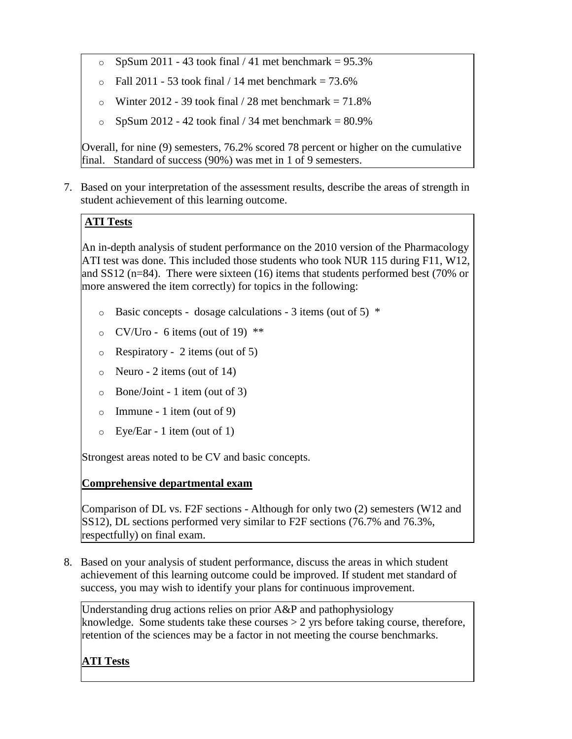- $\degree$  SpSum 2011 43 took final / 41 met benchmark = 95.3%
- $\circ$  Fall 2011 53 took final / 14 met benchmark = 73.6%
- $\circ$  Winter 2012 39 took final / 28 met benchmark = 71.8%
- $\degree$  SpSum 2012 42 took final / 34 met benchmark = 80.9%

Overall, for nine (9) semesters, 76.2% scored 78 percent or higher on the cumulative final. Standard of success (90%) was met in 1 of 9 semesters.

7. Based on your interpretation of the assessment results, describe the areas of strength in student achievement of this learning outcome.

### **ATI Tests**

An in-depth analysis of student performance on the 2010 version of the Pharmacology ATI test was done. This included those students who took NUR 115 during F11, W12, and SS12 (n=84). There were sixteen (16) items that students performed best (70% or more answered the item correctly) for topics in the following:

- $\circ$  Basic concepts dosage calculations 3 items (out of 5)  $*$
- $\circ$  CV/Uro 6 items (out of 19) \*\*
- o Respiratory 2 items (out of 5)
- $\circ$  Neuro 2 items (out of 14)
- o Bone/Joint 1 item (out of 3)
- $\circ$  Immune 1 item (out of 9)
- o Eye/Ear 1 item (out of 1)

Strongest areas noted to be CV and basic concepts.

### **Comprehensive departmental exam**

Comparison of DL vs. F2F sections - Although for only two (2) semesters (W12 and SS12), DL sections performed very similar to F2F sections (76.7% and 76.3%, respectfully) on final exam.

8. Based on your analysis of student performance, discuss the areas in which student achievement of this learning outcome could be improved. If student met standard of success, you may wish to identify your plans for continuous improvement.

Understanding drug actions relies on prior A&P and pathophysiology knowledge. Some students take these courses  $> 2$  yrs before taking course, therefore, retention of the sciences may be a factor in not meeting the course benchmarks.

# **ATI Tests**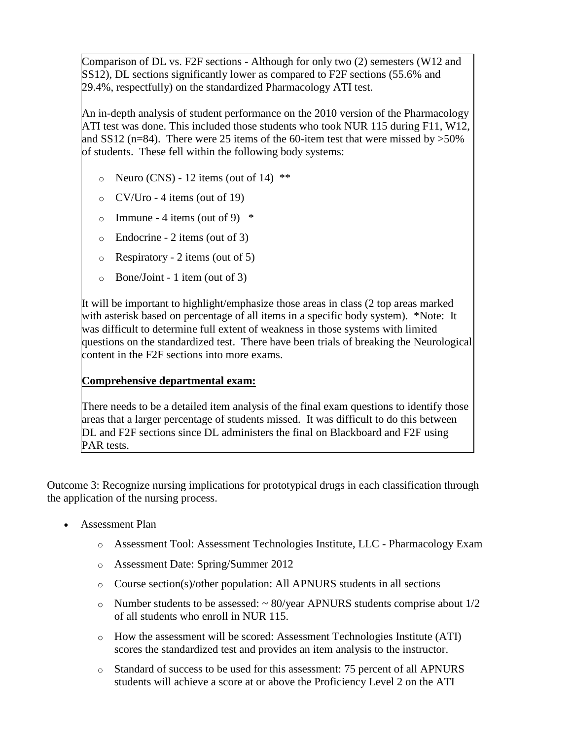Comparison of DL vs. F2F sections - Although for only two (2) semesters (W12 and SS12), DL sections significantly lower as compared to F2F sections (55.6% and 29.4%, respectfully) on the standardized Pharmacology ATI test.

An in-depth analysis of student performance on the 2010 version of the Pharmacology ATI test was done. This included those students who took NUR 115 during F11, W12, and SS12 (n=84). There were 25 items of the 60-item test that were missed by  $>50\%$ of students. These fell within the following body systems:

- $\circ$  Neuro (CNS) 12 items (out of 14) \*\*
- $\circ$  CV/Uro 4 items (out of 19)
- $\circ$  Immune 4 items (out of 9)  $*$
- o Endocrine 2 items (out of 3)
- $\circ$  Respiratory 2 items (out of 5)
- o Bone/Joint 1 item (out of 3)

It will be important to highlight/emphasize those areas in class (2 top areas marked with asterisk based on percentage of all items in a specific body system). \*Note: It was difficult to determine full extent of weakness in those systems with limited questions on the standardized test. There have been trials of breaking the Neurological content in the F2F sections into more exams.

### **Comprehensive departmental exam:**

There needs to be a detailed item analysis of the final exam questions to identify those areas that a larger percentage of students missed. It was difficult to do this between DL and F2F sections since DL administers the final on Blackboard and F2F using PAR tests.

Outcome 3: Recognize nursing implications for prototypical drugs in each classification through the application of the nursing process.

- Assessment Plan
	- o Assessment Tool: Assessment Technologies Institute, LLC Pharmacology Exam
	- o Assessment Date: Spring/Summer 2012
	- o Course section(s)/other population: All APNURS students in all sections
	- $\circ$  Number students to be assessed:  $\sim$  80/year APNURS students comprise about 1/2 of all students who enroll in NUR 115.
	- o How the assessment will be scored: Assessment Technologies Institute (ATI) scores the standardized test and provides an item analysis to the instructor.
	- o Standard of success to be used for this assessment: 75 percent of all APNURS students will achieve a score at or above the Proficiency Level 2 on the ATI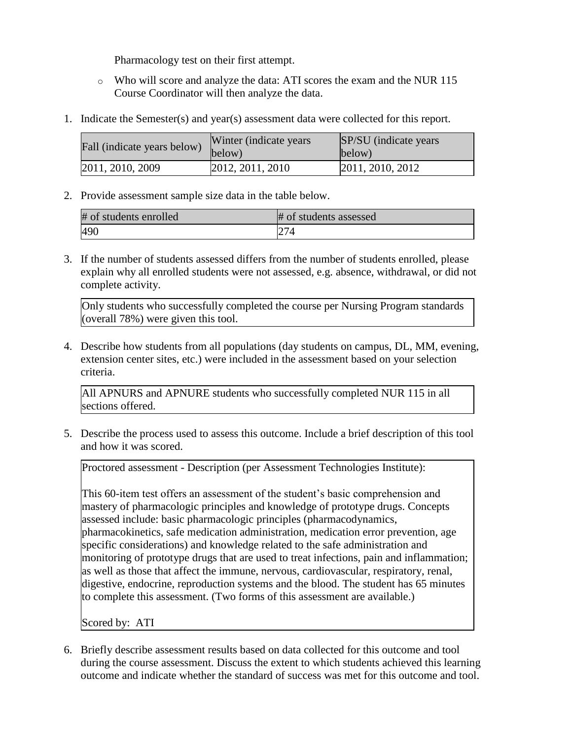Pharmacology test on their first attempt.

- o Who will score and analyze the data: ATI scores the exam and the NUR 115 Course Coordinator will then analyze the data.
- 1. Indicate the Semester(s) and year(s) assessment data were collected for this report.

| Fall (indicate years below) | Winter (indicate years)<br>below) | SP/SU (indicate years)<br>below) |
|-----------------------------|-----------------------------------|----------------------------------|
| 2011, 2010, 2009            | 2012, 2011, 2010                  | 2011, 2010, 2012                 |

2. Provide assessment sample size data in the table below.

| # of students enrolled | # of students assessed |
|------------------------|------------------------|
| 490                    | 274                    |

3. If the number of students assessed differs from the number of students enrolled, please explain why all enrolled students were not assessed, e.g. absence, withdrawal, or did not complete activity.

Only students who successfully completed the course per Nursing Program standards (overall 78%) were given this tool.

4. Describe how students from all populations (day students on campus, DL, MM, evening, extension center sites, etc.) were included in the assessment based on your selection criteria.

All APNURS and APNURE students who successfully completed NUR 115 in all sections offered.

5. Describe the process used to assess this outcome. Include a brief description of this tool and how it was scored.

Proctored assessment - Description (per Assessment Technologies Institute):

This 60-item test offers an assessment of the student's basic comprehension and mastery of pharmacologic principles and knowledge of prototype drugs. Concepts assessed include: basic pharmacologic principles (pharmacodynamics, pharmacokinetics, safe medication administration, medication error prevention, age specific considerations) and knowledge related to the safe administration and monitoring of prototype drugs that are used to treat infections, pain and inflammation; as well as those that affect the immune, nervous, cardiovascular, respiratory, renal, digestive, endocrine, reproduction systems and the blood. The student has 65 minutes to complete this assessment. (Two forms of this assessment are available.)

Scored by: ATI

6. Briefly describe assessment results based on data collected for this outcome and tool during the course assessment. Discuss the extent to which students achieved this learning outcome and indicate whether the standard of success was met for this outcome and tool.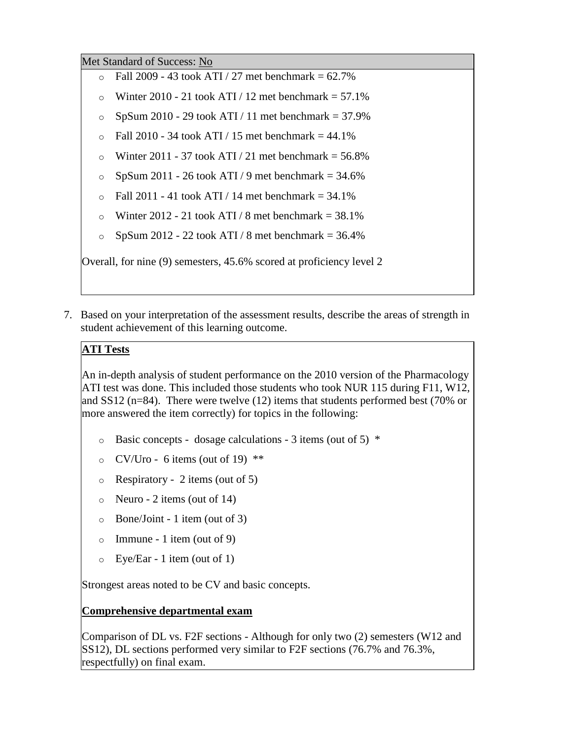Met Standard of Success: No

- $\circ$  Fall 2009 43 took ATI / 27 met benchmark = 62.7%
- o Winter 2010 21 took ATI / 12 met benchmark  $= 57.1\%$
- $\degree$  SpSum 2010 29 took ATI / 11 met benchmark = 37.9%
- $\circ$  Fall 2010 34 took ATI / 15 met benchmark = 44.1%
- o Winter 2011 37 took ATI / 21 met benchmark  $=$  56.8%
- $\degree$  SpSum 2011 26 took ATI / 9 met benchmark = 34.6%
- $\circ$  Fall 2011 41 took ATI / 14 met benchmark = 34.1%
- $\circ$  Winter 2012 21 took ATI / 8 met benchmark = 38.1%
- $\degree$  SpSum 2012 22 took ATI / 8 met benchmark = 36.4%

Overall, for nine (9) semesters, 45.6% scored at proficiency level 2

7. Based on your interpretation of the assessment results, describe the areas of strength in student achievement of this learning outcome.

# **ATI Tests**

An in-depth analysis of student performance on the 2010 version of the Pharmacology ATI test was done. This included those students who took NUR 115 during F11, W12, and SS12 (n=84). There were twelve (12) items that students performed best (70% or more answered the item correctly) for topics in the following:

- $\circ$  Basic concepts dosage calculations 3 items (out of 5)  $*$
- $\degree$  CV/Uro 6 items (out of 19) \*\*
- $\circ$  Respiratory 2 items (out of 5)
- $\circ$  Neuro 2 items (out of 14)
- o Bone/Joint 1 item (out of 3)
- $\circ$  Immune 1 item (out of 9)
- o Eye/Ear 1 item (out of 1)

Strongest areas noted to be CV and basic concepts.

### **Comprehensive departmental exam**

Comparison of DL vs. F2F sections - Although for only two (2) semesters (W12 and SS12), DL sections performed very similar to F2F sections (76.7% and 76.3%, respectfully) on final exam.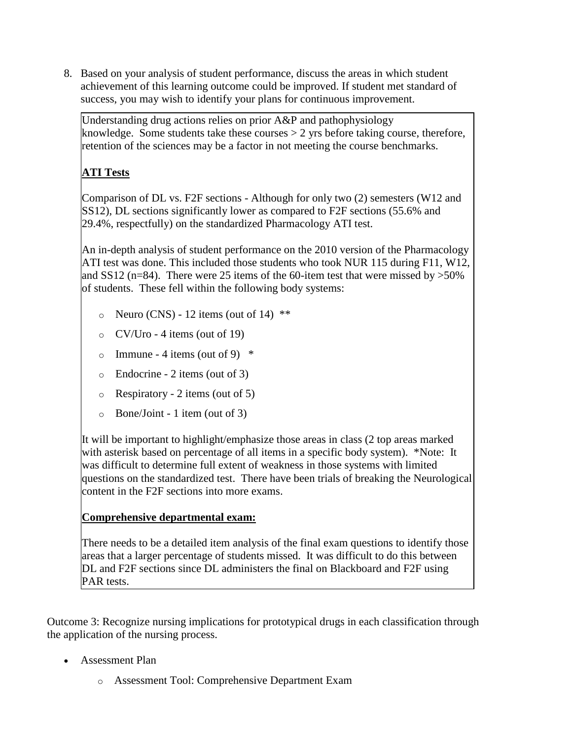8. Based on your analysis of student performance, discuss the areas in which student achievement of this learning outcome could be improved. If student met standard of success, you may wish to identify your plans for continuous improvement.

Understanding drug actions relies on prior A&P and pathophysiology knowledge. Some students take these courses > 2 yrs before taking course, therefore, retention of the sciences may be a factor in not meeting the course benchmarks.

# **ATI Tests**

Comparison of DL vs. F2F sections - Although for only two (2) semesters (W12 and SS12), DL sections significantly lower as compared to F2F sections (55.6% and 29.4%, respectfully) on the standardized Pharmacology ATI test.

An in-depth analysis of student performance on the 2010 version of the Pharmacology ATI test was done. This included those students who took NUR 115 during F11, W12, and SS12 (n=84). There were 25 items of the 60-item test that were missed by  $>50\%$ of students. These fell within the following body systems:

- $\circ$  Neuro (CNS) 12 items (out of 14) \*\*
- $\circ$  CV/Uro 4 items (out of 19)
- o Immune 4 items (out of 9)  $*$
- o Endocrine 2 items (out of 3)
- o Respiratory 2 items (out of 5)
- o Bone/Joint 1 item (out of 3)

It will be important to highlight/emphasize those areas in class (2 top areas marked with asterisk based on percentage of all items in a specific body system). \*Note: It was difficult to determine full extent of weakness in those systems with limited questions on the standardized test. There have been trials of breaking the Neurological content in the F2F sections into more exams.

### **Comprehensive departmental exam:**

There needs to be a detailed item analysis of the final exam questions to identify those areas that a larger percentage of students missed. It was difficult to do this between DL and F2F sections since DL administers the final on Blackboard and F2F using PAR tests.

Outcome 3: Recognize nursing implications for prototypical drugs in each classification through the application of the nursing process.

- Assessment Plan
	- o Assessment Tool: Comprehensive Department Exam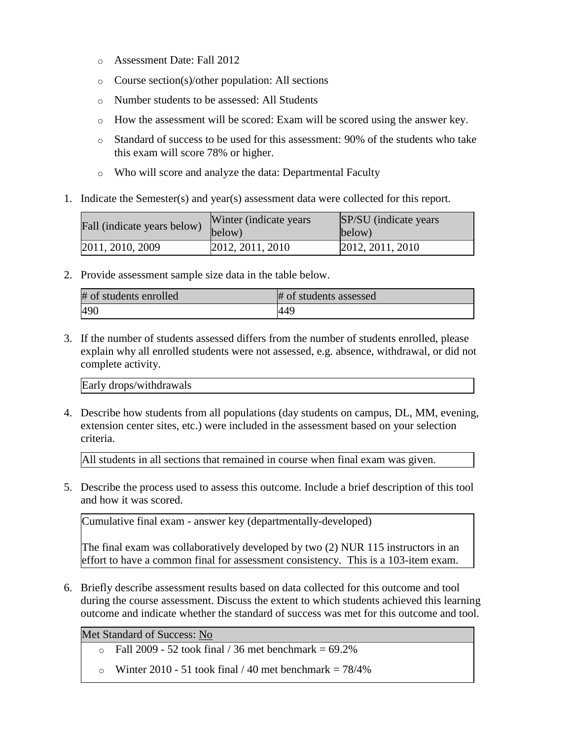- o Assessment Date: Fall 2012
- o Course section(s)/other population: All sections
- o Number students to be assessed: All Students
- o How the assessment will be scored: Exam will be scored using the answer key.
- o Standard of success to be used for this assessment: 90% of the students who take this exam will score 78% or higher.
- o Who will score and analyze the data: Departmental Faculty
- 1. Indicate the Semester(s) and year(s) assessment data were collected for this report.

| Fall (indicate years below) | Winter (indicate years)<br>below) | <b>SP/SU</b> (indicate years)<br>below) |
|-----------------------------|-----------------------------------|-----------------------------------------|
| 2011, 2010, 2009            | 2012, 2011, 2010                  | 2012, 2011, 2010                        |

2. Provide assessment sample size data in the table below.

| # of students enrolled | # of students assessed |
|------------------------|------------------------|
| 490                    | <b>449</b>             |

3. If the number of students assessed differs from the number of students enrolled, please explain why all enrolled students were not assessed, e.g. absence, withdrawal, or did not complete activity.

Early drops/withdrawals

4. Describe how students from all populations (day students on campus, DL, MM, evening, extension center sites, etc.) were included in the assessment based on your selection criteria.

All students in all sections that remained in course when final exam was given.

5. Describe the process used to assess this outcome. Include a brief description of this tool and how it was scored.

Cumulative final exam - answer key (departmentally-developed)

The final exam was collaboratively developed by two (2) NUR 115 instructors in an effort to have a common final for assessment consistency. This is a 103-item exam.

6. Briefly describe assessment results based on data collected for this outcome and tool during the course assessment. Discuss the extent to which students achieved this learning outcome and indicate whether the standard of success was met for this outcome and tool.

Met Standard of Success: No

- $\circ$  Fall 2009 52 took final / 36 met benchmark = 69.2%
- o Winter 2010 51 took final  $/$  40 met benchmark = 78/4%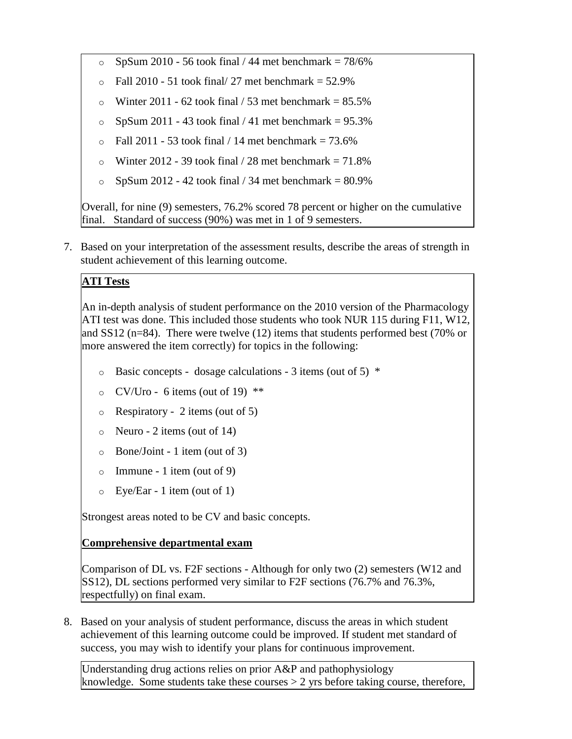- $\degree$  SpSum 2010 56 took final / 44 met benchmark = 78/6%
- $\circ$  Fall 2010 51 took final/ 27 met benchmark = 52.9%
- o Winter 2011 62 took final  $/$  53 met benchmark = 85.5%
- $\degree$  SpSum 2011 43 took final / 41 met benchmark = 95.3%
- $\circ$  Fall 2011 53 took final / 14 met benchmark = 73.6%
- o Winter 2012 39 took final  $/28$  met benchmark = 71.8%
- $\degree$  SpSum 2012 42 took final / 34 met benchmark = 80.9%

Overall, for nine (9) semesters, 76.2% scored 78 percent or higher on the cumulative final. Standard of success (90%) was met in 1 of 9 semesters.

7. Based on your interpretation of the assessment results, describe the areas of strength in student achievement of this learning outcome.

# **ATI Tests**

An in-depth analysis of student performance on the 2010 version of the Pharmacology ATI test was done. This included those students who took NUR 115 during F11, W12, and SS12 (n=84). There were twelve (12) items that students performed best (70% or more answered the item correctly) for topics in the following:

- $\circ$  Basic concepts dosage calculations 3 items (out of 5)  $*$
- $\circ$  CV/Uro 6 items (out of 19) \*\*
- o Respiratory 2 items (out of 5)
- $\circ$  Neuro 2 items (out of 14)
- o Bone/Joint 1 item (out of 3)
- $\circ$  Immune 1 item (out of 9)
- o Eye/Ear 1 item (out of 1)

Strongest areas noted to be CV and basic concepts.

### **Comprehensive departmental exam**

Comparison of DL vs. F2F sections - Although for only two (2) semesters (W12 and SS12), DL sections performed very similar to F2F sections (76.7% and 76.3%, respectfully) on final exam.

8. Based on your analysis of student performance, discuss the areas in which student achievement of this learning outcome could be improved. If student met standard of success, you may wish to identify your plans for continuous improvement.

Understanding drug actions relies on prior A&P and pathophysiology knowledge. Some students take these courses  $> 2$  yrs before taking course, therefore,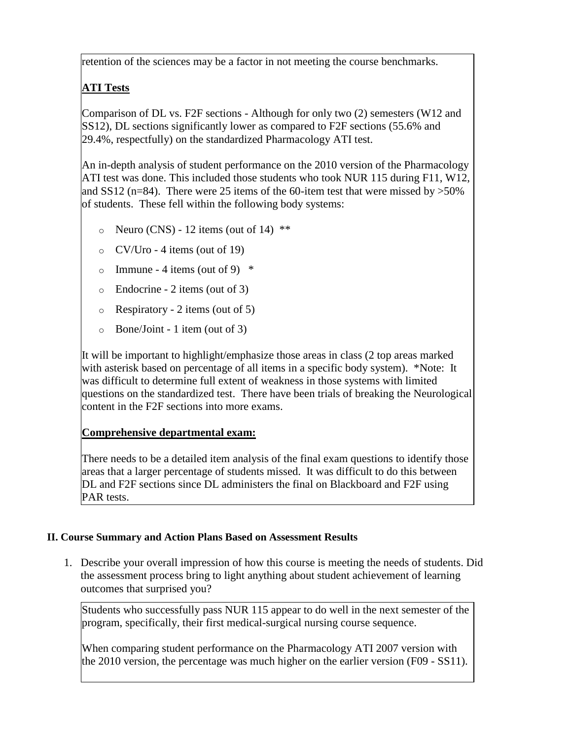retention of the sciences may be a factor in not meeting the course benchmarks.

# **ATI Tests**

Comparison of DL vs. F2F sections - Although for only two (2) semesters (W12 and SS12), DL sections significantly lower as compared to F2F sections (55.6% and 29.4%, respectfully) on the standardized Pharmacology ATI test.

An in-depth analysis of student performance on the 2010 version of the Pharmacology ATI test was done. This included those students who took NUR 115 during F11, W12, and SS12 (n=84). There were 25 items of the 60-item test that were missed by  $>50\%$ of students. These fell within the following body systems:

- $\circ$  Neuro (CNS) 12 items (out of 14) \*\*
- o CV/Uro 4 items (out of 19)
- o Immune 4 items (out of 9)  $*$
- o Endocrine 2 items (out of 3)
- $\circ$  Respiratory 2 items (out of 5)
- o Bone/Joint 1 item (out of 3)

It will be important to highlight/emphasize those areas in class (2 top areas marked with asterisk based on percentage of all items in a specific body system). \*Note: It was difficult to determine full extent of weakness in those systems with limited questions on the standardized test. There have been trials of breaking the Neurological content in the F2F sections into more exams.

# **Comprehensive departmental exam:**

There needs to be a detailed item analysis of the final exam questions to identify those areas that a larger percentage of students missed. It was difficult to do this between DL and F2F sections since DL administers the final on Blackboard and F2F using PAR tests.

# **II. Course Summary and Action Plans Based on Assessment Results**

1. Describe your overall impression of how this course is meeting the needs of students. Did the assessment process bring to light anything about student achievement of learning outcomes that surprised you?

Students who successfully pass NUR 115 appear to do well in the next semester of the program, specifically, their first medical-surgical nursing course sequence.

When comparing student performance on the Pharmacology ATI 2007 version with the 2010 version, the percentage was much higher on the earlier version (F09 - SS11).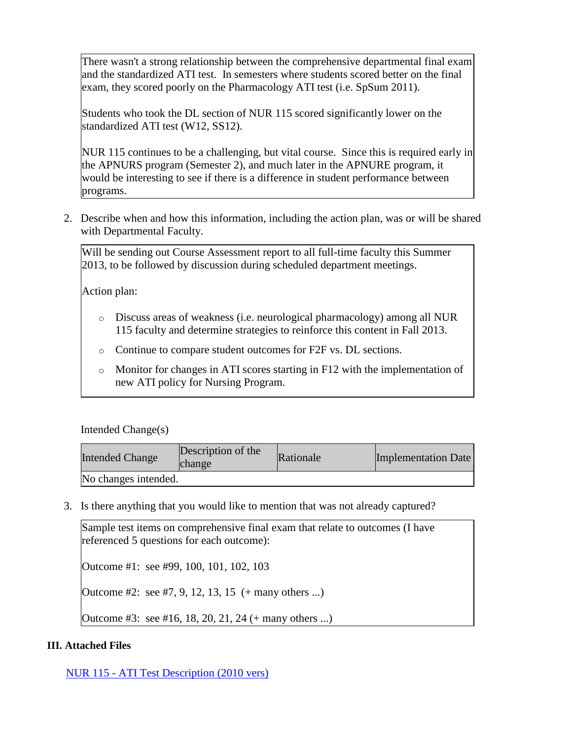There wasn't a strong relationship between the comprehensive departmental final exam and the standardized ATI test. In semesters where students scored better on the final exam, they scored poorly on the Pharmacology ATI test (i.e. SpSum 2011).

Students who took the DL section of NUR 115 scored significantly lower on the standardized ATI test (W12, SS12).

NUR 115 continues to be a challenging, but vital course. Since this is required early in the APNURS program (Semester 2), and much later in the APNURE program, it would be interesting to see if there is a difference in student performance between programs.

2. Describe when and how this information, including the action plan, was or will be shared with Departmental Faculty.

Will be sending out Course Assessment report to all full-time faculty this Summer 2013, to be followed by discussion during scheduled department meetings.

Action plan:

- o Discuss areas of weakness (i.e. neurological pharmacology) among all NUR 115 faculty and determine strategies to reinforce this content in Fall 2013.
- o Continue to compare student outcomes for F2F vs. DL sections.
- $\circ$  Monitor for changes in ATI scores starting in F12 with the implementation of new ATI policy for Nursing Program.

Intended Change(s)

| <b>Intended Change</b> | Description of the<br><b>change</b> | Rationale | Implementation Date |
|------------------------|-------------------------------------|-----------|---------------------|
| No changes intended.   |                                     |           |                     |

3. Is there anything that you would like to mention that was not already captured?

| Sample test items on comprehensive final exam that relate to outcomes (I have<br>referenced 5 questions for each outcome): |
|----------------------------------------------------------------------------------------------------------------------------|
| Outcome #1: see #99, 100, 101, 102, 103                                                                                    |
| Outcome #2: see #7, 9, 12, 13, 15 $(+$ many others )                                                                       |
| Outcome #3: see #16, 18, 20, 21, 24 (+ many others )                                                                       |

#### **III. Attached Files**

NUR 115 - [ATI Test Description \(2010 vers\)](documents/Pharmacology1.pdf)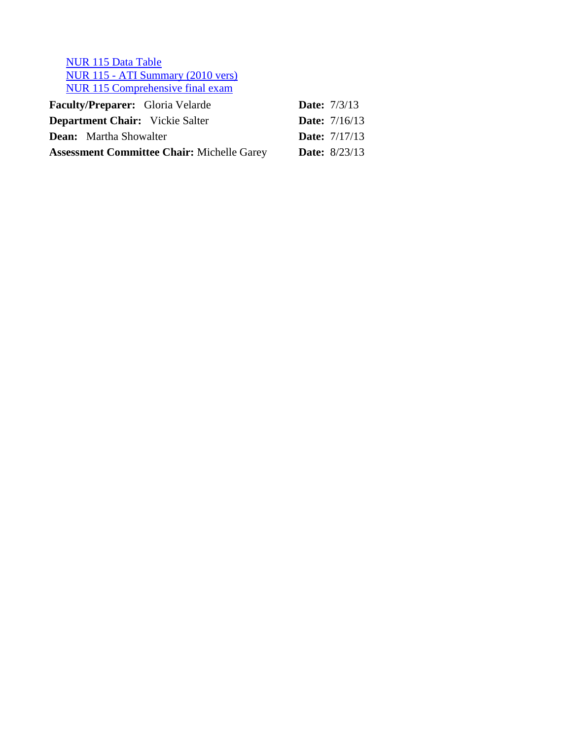[NUR 115 Data Table](documents/NUR%20115%20data%20table%20-%202013.docx) NUR 115 - [ATI Summary \(2010 vers\)](documents/NUR%20115%20-%20F11,%20W12,%20SS12-Pharm%20ATI%20%20(2010%20version)%20-%20no%20names.pdf) [NUR 115 Comprehensive final exam](documents/W-12%20Nur115%20Comprehensive%20Exam%20Ver-4.rtf)

| <b>Faculty/Preparer:</b> Gloria Velarde           |  | <b>Date:</b> $7/3/13$  |
|---------------------------------------------------|--|------------------------|
| <b>Department Chair:</b> Vickie Salter            |  | <b>Date:</b> $7/16/13$ |
| <b>Dean:</b> Martha Showalter                     |  | <b>Date:</b> $7/17/13$ |
| <b>Assessment Committee Chair: Michelle Garey</b> |  | <b>Date:</b> $8/23/13$ |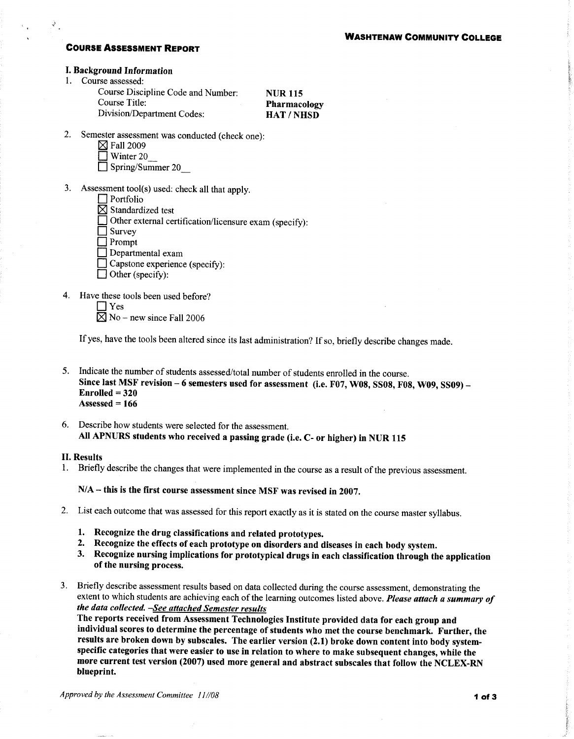#### **COURSE ASSESSMENT REPORT**

#### **I. Background Information**

1. Course assessed:

Course Discipline Code and Number: **Course Title:** Division/Department Codes:

**NUR115** Pharmacology **HAT/NHSD** 

- 2. Semester assessment was conducted (check one):
	- $\boxtimes$  Fall 2009
	- $\Box$  Winter 20
	- $\Box$  Spring/Summer 20
- 3. Assessment tool(s) used: check all that apply.
	- $\Box$  Portfolio  $\boxtimes$  Standardized test Other external certification/licensure exam (specify):  $\Box$  Survey  $\exists$  Prompt  $\Box$  Departmental exam  $\Box$  Capstone experience (specify):
		- $\Box$  Other (specify):
- 4. Have these tools been used before?

 $\Box$  Yes  $\overline{\boxtimes}$  No – new since Fall 2006

If yes, have the tools been altered since its last administration? If so, briefly describe changes made.

- 5. Indicate the number of students assessed/total number of students enrolled in the course. Since last MSF revision - 6 semesters used for assessment (i.e. F07, W08, SS08, F08, W09, SS09) - $Enrolled = 320$ Assessed =  $166$
- 6. Describe how students were selected for the assessment. All APNURS students who received a passing grade (i.e. C- or higher) in NUR 115

#### **II. Results**

1. Briefly describe the changes that were implemented in the course as a result of the previous assessment.

 $N/A$  – this is the first course assessment since MSF was revised in 2007.

- 2. List each outcome that was assessed for this report exactly as it is stated on the course master syllabus.
	- 1. Recognize the drug classifications and related prototypes.
	- 2. Recognize the effects of each prototype on disorders and diseases in each body system.
	- 3. Recognize nursing implications for prototypical drugs in each classification through the application of the nursing process.
- 3. Briefly describe assessment results based on data collected during the course assessment, demonstrating the extent to which students are achieving each of the learning outcomes listed above. Please attach a summary of the data collected. -See attached Semester results

The reports received from Assessment Technologies Institute provided data for each group and individual scores to determine the percentage of students who met the course benchmark. Further, the results are broken down by subscales. The earlier version (2.1) broke down content into body systemspecific categories that were easier to use in relation to where to make subsequent changes, while the more current test version (2007) used more general and abstract subscales that follow the NCLEX-RN blueprint.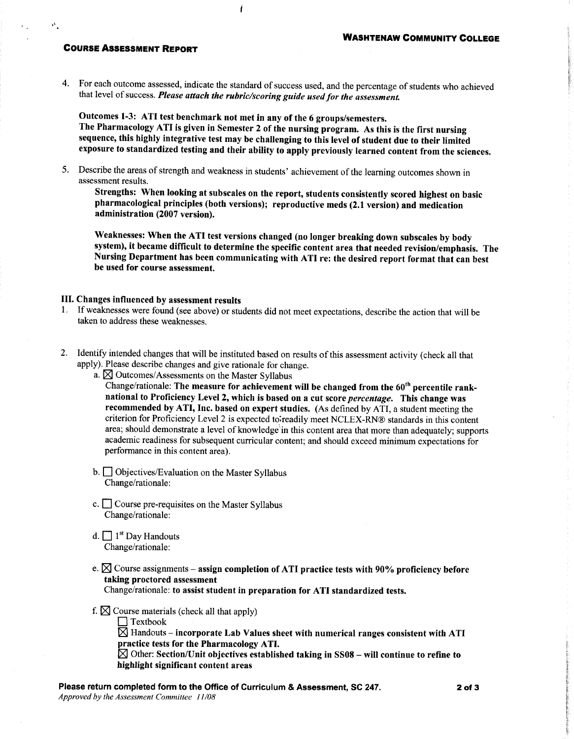#### **COURSE ASSESSMENT REPORT**

4. For each outcome assessed, indicate the standard of success used, and the percentage of students who achieved that level of success. Please attach the rubric/scoring guide used for the assessment.

Outcomes 1-3: ATI test benchmark not met in any of the 6 groups/semesters. The Pharmacology ATI is given in Semester 2 of the nursing program. As this is the first nursing sequence, this highly integrative test may be challenging to this level of student due to their limited exposure to standardized testing and their ability to apply previously learned content from the sciences.

5. Describe the areas of strength and weakness in students' achievement of the learning outcomes shown in assessment results.

Strengths: When looking at subscales on the report, students consistently scored highest on basic pharmacological principles (both versions); reproductive meds (2.1 version) and medication administration (2007 version).

Weaknesses: When the ATI test versions changed (no longer breaking down subscales by body system), it became difficult to determine the specific content area that needed revision/emphasis. The Nursing Department has been communicating with ATI re: the desired report format that can best be used for course assessment.

#### III. Changes influenced by assessment results

- 1. If weaknesses were found (see above) or students did not meet expectations, describe the action that will be taken to address these weaknesses.
- 2. Identify intended changes that will be instituted based on results of this assessment activity (check all that apply). Please describe changes and give rationale for change.
	- a.  $\boxtimes$  Outcomes/Assessments on the Master Syllabus

Change/rationale: The measure for achievement will be changed from the 60<sup>th</sup> percentile ranknational to Proficiency Level 2, which is based on a cut score percentage. This change was recommended by ATI, Inc. based on expert studies. (As defined by ATI, a student meeting the criterion for Proficiency Level 2 is expected to readily meet NCLEX-RN® standards in this content area; should demonstrate a level of knowledge in this content area that more than adequately; supports academic readiness for subsequent curricular content; and should exceed minimum expectations for performance in this content area).

- $\mathbf{b}$ .  $\Box$  Objectives/Evaluation on the Master Syllabus Change/rationale:
- c. Course pre-requisites on the Master Syllabus Change/rationale:
- d.  $\Box$  1<sup>st</sup> Day Handouts Change/rationale:
- e.  $\boxtimes$  Course assignments assign completion of ATI practice tests with 90% proficiency before taking proctored assessment

Change/rationale: to assist student in preparation for ATI standardized tests.

f.  $\boxtimes$  Course materials (check all that apply)

 $\Box$  Textbook

 $\boxtimes$  Handouts – incorporate Lab Values sheet with numerical ranges consistent with ATI practice tests for the Pharmacology ATI.

 $\boxtimes$  Other: Section/Unit objectives established taking in SS08 – will continue to refine to highlight significant content areas

Please return completed form to the Office of Curriculum & Assessment, SC 247. Approved by the Assessment Committee 11/08